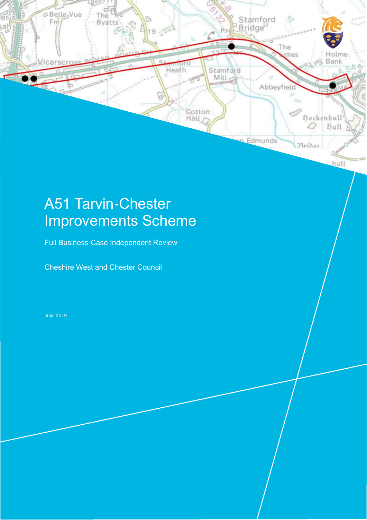

# A51 Tarvin-Chester Improvements Scheme

Full Business Case Independent Review

Cheshire West and Chester Council

July 2019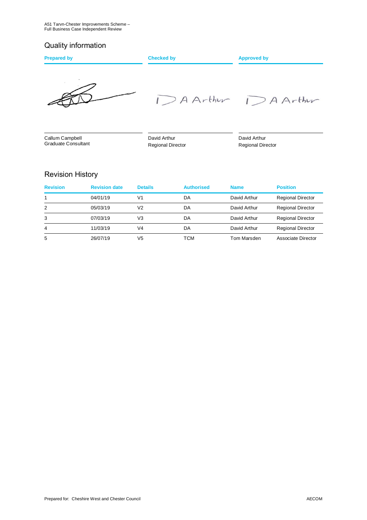## Quality information

| <b>Prepared by</b> | <b>Checked by</b> | <b>Approved by</b> |  |
|--------------------|-------------------|--------------------|--|
| $\sim$<br>$\sim$   |                   | DAArthur DAArthur  |  |

Callum Campbell Graduate Consultant  David Arthur Regional Director  David Arthur Regional Director

## Revision History

| <b>Revision</b> | <b>Revision date</b> | <b>Details</b> | <b>Authorised</b> | <b>Name</b>  | <b>Position</b>          |
|-----------------|----------------------|----------------|-------------------|--------------|--------------------------|
|                 | 04/01/19             | V1             | DA                | David Arthur | <b>Regional Director</b> |
| 2               | 05/03/19             | V2             | DA                | David Arthur | <b>Regional Director</b> |
| 3               | 07/03/19             | V3             | DA                | David Arthur | <b>Regional Director</b> |
| 4               | 11/03/19             | V4             | DA                | David Arthur | <b>Regional Director</b> |
| 5               | 26/07/19             | V5             | <b>TCM</b>        | Tom Marsden  | Associate Director       |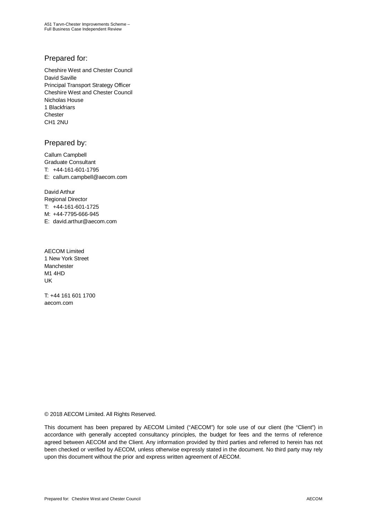A51 Tarvn-Chester Improvements Scheme – Full Business Case Independent Review

### Prepared for:

Cheshire West and Chester Council David Saville Principal Transport Strategy Officer Cheshire West and Chester Council Nicholas House 1 Blackfriars **Chester** CH1 2NU

### Prepared by:

Callum Campbell Graduate Consultant T: +44-161-601-1795 E: callum.campbell@aecom.com

David Arthur Regional Director T: +44-161-601-1725 M: +44-7795-666-945 E: david.arthur@aecom.com

 AECOM Limited 1 New York Street Manchester M1 4HD UK

T: +44 161 601 1700 aecom.com

© 2018 AECOM Limited. All Rights Reserved.

This document has been prepared by AECOM Limited ("AECOM") for sole use of our client (the "Client") in accordance with generally accepted consultancy principles, the budget for fees and the terms of reference agreed between AECOM and the Client. Any information provided by third parties and referred to herein has not been checked or verified by AECOM, unless otherwise expressly stated in the document. No third party may rely upon this document without the prior and express written agreement of AECOM.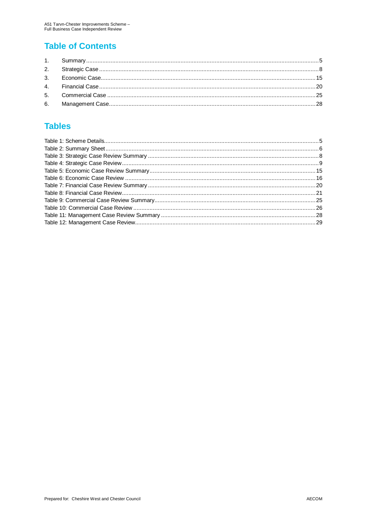# **Table of Contents**

# **Tables**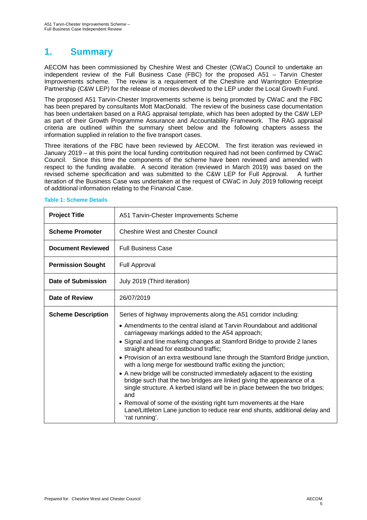# **1. Summary**

AECOM has been commissioned by Cheshire West and Chester (CWaC) Council to undertake an independent review of the Full Business Case (FBC) for the proposed A51 – Tarvin Chester Improvements scheme. The review is a requirement of the Cheshire and Warrington Enterprise Partnership (C&W LEP) for the release of monies devolved to the LEP under the Local Growth Fund.

The proposed A51 Tarvin-Chester Improvements scheme is being promoted by CWaC and the FBC has been prepared by consultants Mott MacDonald. The review of the business case documentation has been undertaken based on a RAG appraisal template, which has been adopted by the C&W LEP as part of their Growth Programme Assurance and Accountability Framework. The RAG appraisal criteria are outlined within the summary sheet below and the following chapters assess the information supplied in relation to the five transport cases.

Three iterations of the FBC have been reviewed by AECOM. The first iteration was reviewed in January 2019 – at this point the local funding contribution required had not been confirmed by CWaC Council. Since this time the components of the scheme have been reviewed and amended with respect to the funding available. A second iteration (reviewed in March 2019) was based on the revised scheme specification and was submitted to the C&W LEP for Full Approval. A further iteration of the Business Case was undertaken at the request of CWaC in July 2019 following receipt of additional information relating to the Financial Case.

| <b>Project Title</b>                                                                          | A51 Tarvin-Chester Improvements Scheme                                                                                                                                                                                                  |  |  |
|-----------------------------------------------------------------------------------------------|-----------------------------------------------------------------------------------------------------------------------------------------------------------------------------------------------------------------------------------------|--|--|
| <b>Scheme Promoter</b>                                                                        | <b>Cheshire West and Chester Council</b>                                                                                                                                                                                                |  |  |
| <b>Document Reviewed</b>                                                                      | <b>Full Business Case</b>                                                                                                                                                                                                               |  |  |
| <b>Permission Sought</b>                                                                      | Full Approval                                                                                                                                                                                                                           |  |  |
| Date of Submission                                                                            | July 2019 (Third iteration)                                                                                                                                                                                                             |  |  |
| Date of Review                                                                                | 26/07/2019                                                                                                                                                                                                                              |  |  |
| <b>Scheme Description</b><br>Series of highway improvements along the A51 corridor including: |                                                                                                                                                                                                                                         |  |  |
|                                                                                               | • Amendments to the central island at Tarvin Roundabout and additional<br>carriageway markings added to the A54 approach;                                                                                                               |  |  |
|                                                                                               | • Signal and line marking changes at Stamford Bridge to provide 2 lanes<br>straight ahead for eastbound traffic;                                                                                                                        |  |  |
|                                                                                               | • Provision of an extra westbound lane through the Stamford Bridge junction,<br>with a long merge for westbound traffic exiting the junction;                                                                                           |  |  |
|                                                                                               | • A new bridge will be constructed immediately adjacent to the existing<br>bridge such that the two bridges are linked giving the appearance of a<br>single structure. A kerbed island will be in place between the two bridges;<br>and |  |  |
|                                                                                               | • Removal of some of the existing right turn movements at the Hare<br>Lane/Littleton Lane junction to reduce rear end shunts, additional delay and<br>'rat running'.                                                                    |  |  |

#### **Table 1: Scheme Details**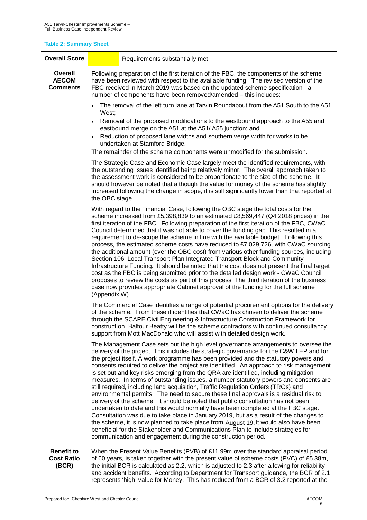### **Table 2: Summary Sheet**

| <b>Overall Score</b>                            | Requirements substantially met                                                                                                                                                                                                                                                                                                                                                                                                                                                                                                                                                                                                                                                                                                                                                                                                                                                                                                                                                                                                                                                                                                                                                                                                          |                                                                                                                                                                                                                                                                    |  |  |
|-------------------------------------------------|-----------------------------------------------------------------------------------------------------------------------------------------------------------------------------------------------------------------------------------------------------------------------------------------------------------------------------------------------------------------------------------------------------------------------------------------------------------------------------------------------------------------------------------------------------------------------------------------------------------------------------------------------------------------------------------------------------------------------------------------------------------------------------------------------------------------------------------------------------------------------------------------------------------------------------------------------------------------------------------------------------------------------------------------------------------------------------------------------------------------------------------------------------------------------------------------------------------------------------------------|--------------------------------------------------------------------------------------------------------------------------------------------------------------------------------------------------------------------------------------------------------------------|--|--|
| Overall<br><b>AECOM</b><br><b>Comments</b>      | Following preparation of the first iteration of the FBC, the components of the scheme<br>have been reviewed with respect to the available funding. The revised version of the<br>FBC received in March 2019 was based on the updated scheme specification - a<br>number of components have been removed/amended - this includes:                                                                                                                                                                                                                                                                                                                                                                                                                                                                                                                                                                                                                                                                                                                                                                                                                                                                                                        |                                                                                                                                                                                                                                                                    |  |  |
|                                                 |                                                                                                                                                                                                                                                                                                                                                                                                                                                                                                                                                                                                                                                                                                                                                                                                                                                                                                                                                                                                                                                                                                                                                                                                                                         | The removal of the left turn lane at Tarvin Roundabout from the A51 South to the A51                                                                                                                                                                               |  |  |
|                                                 |                                                                                                                                                                                                                                                                                                                                                                                                                                                                                                                                                                                                                                                                                                                                                                                                                                                                                                                                                                                                                                                                                                                                                                                                                                         | West;<br>Removal of the proposed modifications to the westbound approach to the A55 and<br>eastbound merge on the A51 at the A51/A55 junction; and<br>Reduction of proposed lane widths and southern verge width for works to be<br>undertaken at Stamford Bridge. |  |  |
|                                                 |                                                                                                                                                                                                                                                                                                                                                                                                                                                                                                                                                                                                                                                                                                                                                                                                                                                                                                                                                                                                                                                                                                                                                                                                                                         | The remainder of the scheme components were unmodified for the submission.                                                                                                                                                                                         |  |  |
|                                                 | The Strategic Case and Economic Case largely meet the identified requirements, with<br>the outstanding issues identified being relatively minor. The overall approach taken to<br>the assessment work is considered to be proportionate to the size of the scheme. It<br>should however be noted that although the value for money of the scheme has slightly<br>increased following the change in scope, it is still significantly lower than that reported at<br>the OBC stage.                                                                                                                                                                                                                                                                                                                                                                                                                                                                                                                                                                                                                                                                                                                                                       |                                                                                                                                                                                                                                                                    |  |  |
|                                                 | With regard to the Financial Case, following the OBC stage the total costs for the<br>scheme increased from £5,398,839 to an estimated £8,569,447 (Q4 2018 prices) in the<br>first iteration of the FBC. Following preparation of the first iteration of the FBC, CWaC<br>Council determined that it was not able to cover the funding gap. This resulted in a<br>requirement to de-scope the scheme in line with the available budget. Following this<br>process, the estimated scheme costs have reduced to £7,029,726, with CWaC sourcing<br>the additional amount (over the OBC cost) from various other funding sources, including<br>Section 106, Local Transport Plan Integrated Transport Block and Community<br>Infrastructure Funding. It should be noted that the cost does not present the final target<br>cost as the FBC is being submitted prior to the detailed design work - CWaC Council<br>proposes to review the costs as part of this process. The third iteration of the business<br>case now provides appropriate Cabinet approval of the funding for the full scheme<br>(Appendix W).                                                                                                                           |                                                                                                                                                                                                                                                                    |  |  |
|                                                 | The Commercial Case identifies a range of potential procurement options for the delivery<br>of the scheme. From these it identifies that CWaC has chosen to deliver the scheme<br>through the SCAPE Civil Engineering & Infrastructure Construction Framework for<br>construction. Balfour Beatty will be the scheme contractors with continued consultancy<br>support from Mott MacDonald who will assist with detailed design work.                                                                                                                                                                                                                                                                                                                                                                                                                                                                                                                                                                                                                                                                                                                                                                                                   |                                                                                                                                                                                                                                                                    |  |  |
|                                                 | The Management Case sets out the high level governance arrangements to oversee the<br>delivery of the project. This includes the strategic governance for the C&W LEP and for<br>the project itself. A work programme has been provided and the statutory powers and<br>consents required to deliver the project are identified. An approach to risk management<br>is set out and key risks emerging from the QRA are identified, including mitigation<br>measures. In terms of outstanding issues, a number statutory powers and consents are<br>still required, including land acquisition, Traffic Regulation Orders (TROs) and<br>environmental permits. The need to secure these final approvals is a residual risk to<br>delivery of the scheme. It should be noted that public consultation has not been<br>undertaken to date and this would normally have been completed at the FBC stage.<br>Consultation was due to take place in January 2019, but as a result of the changes to<br>the scheme, it is now planned to take place from August 19. It would also have been<br>beneficial for the Stakeholder and Communications Plan to include strategies for<br>communication and engagement during the construction period. |                                                                                                                                                                                                                                                                    |  |  |
| <b>Benefit to</b><br><b>Cost Ratio</b><br>(BCR) | When the Present Value Benefits (PVB) of £11.99m over the standard appraisal period<br>of 60 years, is taken together with the present value of scheme costs (PVC) of £5.38m,<br>the initial BCR is calculated as 2.2, which is adjusted to 2.3 after allowing for reliability<br>and accident benefits. According to Department for Transport guidance, the BCR of 2.1<br>represents 'high' value for Money. This has reduced from a BCR of 3.2 reported at the                                                                                                                                                                                                                                                                                                                                                                                                                                                                                                                                                                                                                                                                                                                                                                        |                                                                                                                                                                                                                                                                    |  |  |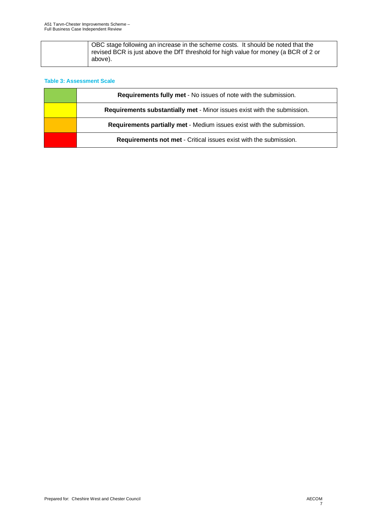| OBC stage following an increase in the scheme costs. It should be noted that the<br>revised BCR is just above the DfT threshold for high value for money (a BCR of 2 or |
|-------------------------------------------------------------------------------------------------------------------------------------------------------------------------|
| above).                                                                                                                                                                 |

### **Table 3: Assessment Scale**

| <b>Requirements fully met - No issues of note with the submission.</b>   |
|--------------------------------------------------------------------------|
| Requirements substantially met - Minor issues exist with the submission. |
| Requirements partially met - Medium issues exist with the submission.    |
| <b>Requirements not met - Critical issues exist with the submission.</b> |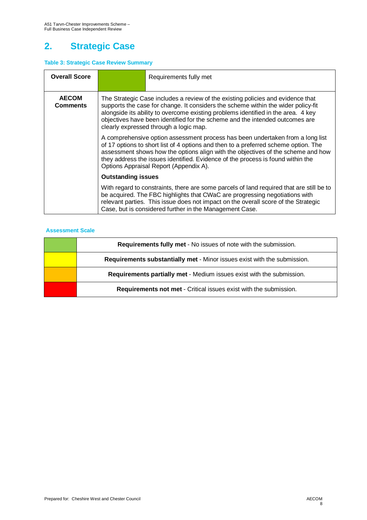# **2. Strategic Case**

### **Table 3: Strategic Case Review Summary**

| <b>Overall Score</b>                                                                                                                                                                                                                                                                                                                                                                                                   | Requirements fully met                                                                                                                                                                                                                                                                                                                                                                 |  |
|------------------------------------------------------------------------------------------------------------------------------------------------------------------------------------------------------------------------------------------------------------------------------------------------------------------------------------------------------------------------------------------------------------------------|----------------------------------------------------------------------------------------------------------------------------------------------------------------------------------------------------------------------------------------------------------------------------------------------------------------------------------------------------------------------------------------|--|
| <b>AECOM</b><br>The Strategic Case includes a review of the existing policies and evidence that<br>supports the case for change. It considers the scheme within the wider policy-fit<br><b>Comments</b><br>alongside its ability to overcome existing problems identified in the area. 4 key<br>objectives have been identified for the scheme and the intended outcomes are<br>clearly expressed through a logic map. |                                                                                                                                                                                                                                                                                                                                                                                        |  |
|                                                                                                                                                                                                                                                                                                                                                                                                                        | A comprehensive option assessment process has been undertaken from a long list<br>of 17 options to short list of 4 options and then to a preferred scheme option. The<br>assessment shows how the options align with the objectives of the scheme and how<br>they address the issues identified. Evidence of the process is found within the<br>Options Appraisal Report (Appendix A). |  |
|                                                                                                                                                                                                                                                                                                                                                                                                                        | <b>Outstanding issues</b>                                                                                                                                                                                                                                                                                                                                                              |  |
|                                                                                                                                                                                                                                                                                                                                                                                                                        | With regard to constraints, there are some parcels of land required that are still be to<br>be acquired. The FBC highlights that CWaC are progressing negotiations with<br>relevant parties. This issue does not impact on the overall score of the Strategic<br>Case, but is considered further in the Management Case.                                                               |  |

| <b>Requirements fully met - No issues of note with the submission.</b>   |
|--------------------------------------------------------------------------|
| Requirements substantially met - Minor issues exist with the submission. |
| Requirements partially met - Medium issues exist with the submission.    |
| <b>Requirements not met - Critical issues exist with the submission.</b> |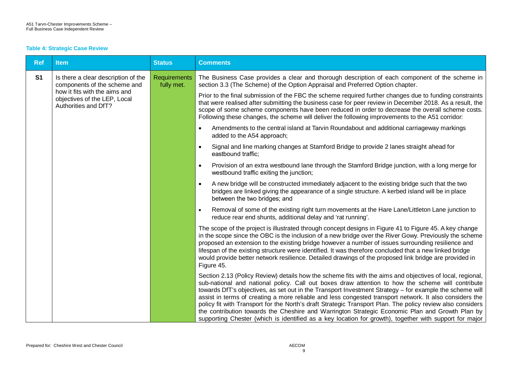#### **Table 4: Strategic Case Review**

| <b>Ref</b>     | <b>Item</b>                                                                                                                                                  | <b>Status</b>                     | <b>Comments</b>                                                                                                                                                                                                                                                                                                                                                                                                                                                                                                                                                                                                                                                                                                                                                 |
|----------------|--------------------------------------------------------------------------------------------------------------------------------------------------------------|-----------------------------------|-----------------------------------------------------------------------------------------------------------------------------------------------------------------------------------------------------------------------------------------------------------------------------------------------------------------------------------------------------------------------------------------------------------------------------------------------------------------------------------------------------------------------------------------------------------------------------------------------------------------------------------------------------------------------------------------------------------------------------------------------------------------|
| S <sub>1</sub> | Is there a clear description of the<br>components of the scheme and<br>how it fits with the aims and<br>objectives of the LEP, Local<br>Authorities and DfT? | <b>Requirements</b><br>fully met. | The Business Case provides a clear and thorough description of each component of the scheme in<br>section 3.3 (The Scheme) of the Option Appraisal and Preferred Option chapter.                                                                                                                                                                                                                                                                                                                                                                                                                                                                                                                                                                                |
|                |                                                                                                                                                              |                                   | Prior to the final submission of the FBC the scheme required further changes due to funding constraints<br>that were realised after submitting the business case for peer review in December 2018. As a result, the<br>scope of some scheme components have been reduced in order to decrease the overall scheme costs.<br>Following these changes, the scheme will deliver the following improvements to the A51 corridor:                                                                                                                                                                                                                                                                                                                                     |
|                |                                                                                                                                                              |                                   | Amendments to the central island at Tarvin Roundabout and additional carriageway markings<br>$\bullet$<br>added to the A54 approach;                                                                                                                                                                                                                                                                                                                                                                                                                                                                                                                                                                                                                            |
|                |                                                                                                                                                              |                                   | Signal and line marking changes at Stamford Bridge to provide 2 lanes straight ahead for<br>$\bullet$<br>eastbound traffic:                                                                                                                                                                                                                                                                                                                                                                                                                                                                                                                                                                                                                                     |
|                |                                                                                                                                                              |                                   | Provision of an extra westbound lane through the Stamford Bridge junction, with a long merge for<br>$\bullet$<br>westbound traffic exiting the junction;                                                                                                                                                                                                                                                                                                                                                                                                                                                                                                                                                                                                        |
|                |                                                                                                                                                              |                                   | A new bridge will be constructed immediately adjacent to the existing bridge such that the two<br>$\bullet$<br>bridges are linked giving the appearance of a single structure. A kerbed island will be in place<br>between the two bridges; and                                                                                                                                                                                                                                                                                                                                                                                                                                                                                                                 |
|                |                                                                                                                                                              |                                   | Removal of some of the existing right turn movements at the Hare Lane/Littleton Lane junction to<br>$\bullet$<br>reduce rear end shunts, additional delay and 'rat running'.                                                                                                                                                                                                                                                                                                                                                                                                                                                                                                                                                                                    |
|                |                                                                                                                                                              |                                   | The scope of the project is illustrated through concept designs in Figure 41 to Figure 45. A key change<br>in the scope since the OBC is the inclusion of a new bridge over the River Gowy. Previously the scheme<br>proposed an extension to the existing bridge however a number of issues surrounding resilience and<br>lifespan of the existing structure were identified. It was therefore concluded that a new linked bridge<br>would provide better network resilience. Detailed drawings of the proposed link bridge are provided in<br>Figure 45.                                                                                                                                                                                                      |
|                |                                                                                                                                                              |                                   | Section 2.13 (Policy Review) details how the scheme fits with the aims and objectives of local, regional,<br>sub-national and national policy. Call out boxes draw attention to how the scheme will contribute<br>towards DfT's objectives, as set out in the Transport Investment Strategy - for example the scheme will<br>assist in terms of creating a more reliable and less congested transport network. It also considers the<br>policy fit with Transport for the North's draft Strategic Transport Plan. The policy review also considers<br>the contribution towards the Cheshire and Warrington Strategic Economic Plan and Growth Plan by<br>supporting Chester (which is identified as a key location for growth), together with support for major |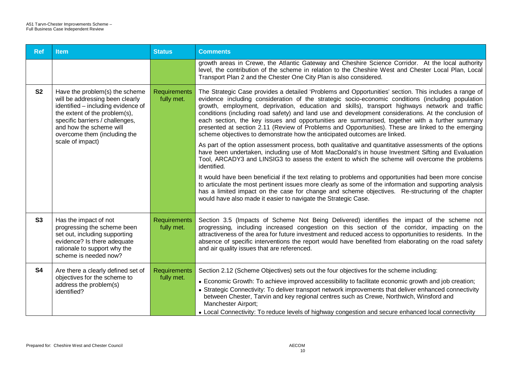| <b>Ref</b>     | <b>Item</b>                                                                                                                                                                                                                                                | <b>Status</b>                     | <b>Comments</b>                                                                                                                                                                                                                                                                                                                                                                                                                                                                                                                                                                                                                                                                                                                                                                                                                                                                                                                                                                                                                                                                                                                                                                                                                                                                                                                                                    |
|----------------|------------------------------------------------------------------------------------------------------------------------------------------------------------------------------------------------------------------------------------------------------------|-----------------------------------|--------------------------------------------------------------------------------------------------------------------------------------------------------------------------------------------------------------------------------------------------------------------------------------------------------------------------------------------------------------------------------------------------------------------------------------------------------------------------------------------------------------------------------------------------------------------------------------------------------------------------------------------------------------------------------------------------------------------------------------------------------------------------------------------------------------------------------------------------------------------------------------------------------------------------------------------------------------------------------------------------------------------------------------------------------------------------------------------------------------------------------------------------------------------------------------------------------------------------------------------------------------------------------------------------------------------------------------------------------------------|
|                |                                                                                                                                                                                                                                                            |                                   | growth areas in Crewe, the Atlantic Gateway and Cheshire Science Corridor. At the local authority<br>level, the contribution of the scheme in relation to the Cheshire West and Chester Local Plan, Local<br>Transport Plan 2 and the Chester One City Plan is also considered.                                                                                                                                                                                                                                                                                                                                                                                                                                                                                                                                                                                                                                                                                                                                                                                                                                                                                                                                                                                                                                                                                    |
| S <sub>2</sub> | Have the problem(s) the scheme<br>will be addressing been clearly<br>identified - including evidence of<br>the extent of the problem(s),<br>specific barriers / challenges,<br>and how the scheme will<br>overcome them (including the<br>scale of impact) | Requirements<br>fully met.        | The Strategic Case provides a detailed 'Problems and Opportunities' section. This includes a range of<br>evidence including consideration of the strategic socio-economic conditions (including population<br>growth, employment, deprivation, education and skills), transport highways network and traffic<br>conditions (including road safety) and land use and development considerations. At the conclusion of<br>each section, the key issues and opportunities are summarised, together with a further summary<br>presented at section 2.11 (Review of Problems and Opportunities). These are linked to the emerging<br>scheme objectives to demonstrate how the anticipated outcomes are linked.<br>As part of the option assessment process, both qualitative and quantitative assessments of the options<br>have been undertaken, including use of Mott MacDonald's in house Investment Sifting and Evaluation<br>Tool, ARCADY3 and LINSIG3 to assess the extent to which the scheme will overcome the problems<br>identified.<br>It would have been beneficial if the text relating to problems and opportunities had been more concise<br>to articulate the most pertinent issues more clearly as some of the information and supporting analysis<br>has a limited impact on the case for change and scheme objectives. Re-structuring of the chapter |
|                |                                                                                                                                                                                                                                                            |                                   | would have also made it easier to navigate the Strategic Case.                                                                                                                                                                                                                                                                                                                                                                                                                                                                                                                                                                                                                                                                                                                                                                                                                                                                                                                                                                                                                                                                                                                                                                                                                                                                                                     |
| S <sub>3</sub> | Has the impact of not<br>progressing the scheme been<br>set out, including supporting<br>evidence? Is there adequate<br>rationale to support why the<br>scheme is needed now?                                                                              | <b>Requirements</b><br>fully met. | Section 3.5 (Impacts of Scheme Not Being Delivered) identifies the impact of the scheme not<br>progressing, including increased congestion on this section of the corridor, impacting on the<br>attractiveness of the area for future investment and reduced access to opportunities to residents. In the<br>absence of specific interventions the report would have benefited from elaborating on the road safety<br>and air quality issues that are referenced.                                                                                                                                                                                                                                                                                                                                                                                                                                                                                                                                                                                                                                                                                                                                                                                                                                                                                                  |
| <b>S4</b>      | Are there a clearly defined set of<br>objectives for the scheme to<br>address the problem(s)<br>identified?                                                                                                                                                | <b>Requirements</b><br>fully met. | Section 2.12 (Scheme Objectives) sets out the four objectives for the scheme including:<br>• Economic Growth: To achieve improved accessibility to facilitate economic growth and job creation;<br>• Strategic Connectivity: To deliver transport network improvements that deliver enhanced connectivity<br>between Chester, Tarvin and key regional centres such as Crewe, Northwich, Winsford and<br>Manchester Airport;<br>• Local Connectivity: To reduce levels of highway congestion and secure enhanced local connectivity                                                                                                                                                                                                                                                                                                                                                                                                                                                                                                                                                                                                                                                                                                                                                                                                                                 |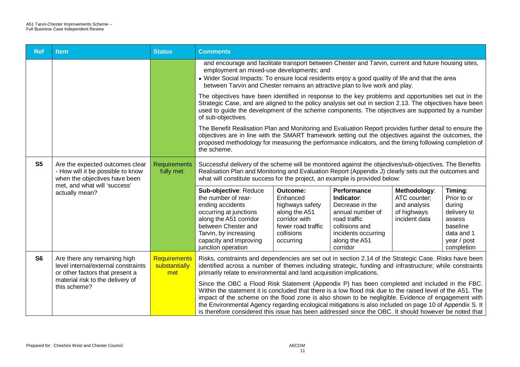| <b>Ref</b>     | <b>Item</b>                                                                                            | <b>Status</b>                               | <b>Comments</b>                                                                                                                                                                                                                                                                                                                                                                                                                                                                                                                       |                                                                                                                            |                                                                                                                                                        |                                                                              |                                                                                                                  |
|----------------|--------------------------------------------------------------------------------------------------------|---------------------------------------------|---------------------------------------------------------------------------------------------------------------------------------------------------------------------------------------------------------------------------------------------------------------------------------------------------------------------------------------------------------------------------------------------------------------------------------------------------------------------------------------------------------------------------------------|----------------------------------------------------------------------------------------------------------------------------|--------------------------------------------------------------------------------------------------------------------------------------------------------|------------------------------------------------------------------------------|------------------------------------------------------------------------------------------------------------------|
|                |                                                                                                        |                                             | and encourage and facilitate transport between Chester and Tarvin, current and future housing sites,<br>employment an mixed-use developments; and<br>• Wider Social Impacts: To ensure local residents enjoy a good quality of life and that the area<br>between Tarvin and Chester remains an attractive plan to live work and play.                                                                                                                                                                                                 |                                                                                                                            |                                                                                                                                                        |                                                                              |                                                                                                                  |
|                |                                                                                                        |                                             | The objectives have been identified in response to the key problems and opportunities set out in the<br>Strategic Case, and are aligned to the policy analysis set out in section 2.13. The objectives have been<br>used to guide the development of the scheme components. The objectives are supported by a number<br>of sub-objectives.                                                                                                                                                                                            |                                                                                                                            |                                                                                                                                                        |                                                                              |                                                                                                                  |
|                |                                                                                                        |                                             | The Benefit Realisation Plan and Monitoring and Evaluation Report provides further detail to ensure the<br>objectives are in line with the SMART framework setting out the objectives against the outcomes, the<br>proposed methodology for measuring the performance indicators, and the timing following completion of<br>the scheme.                                                                                                                                                                                               |                                                                                                                            |                                                                                                                                                        |                                                                              |                                                                                                                  |
| S <sub>5</sub> | Are the expected outcomes clear<br>- How will it be possible to know<br>when the objectives have been  | Requirements<br>fully met.                  | Successful delivery of the scheme will be monitored against the objectives/sub-objectives. The Benefits<br>Realisation Plan and Monitoring and Evaluation Report (Appendix J) clearly sets out the outcomes and<br>what will constitute success for the project, an example is provided below:                                                                                                                                                                                                                                        |                                                                                                                            |                                                                                                                                                        |                                                                              |                                                                                                                  |
|                | met, and what will 'success'<br>actually mean?                                                         |                                             | Sub-objective: Reduce<br>the number of rear-<br>ending accidents<br>occurring at junctions<br>along the A51 corridor<br>between Chester and<br>Tarvin, by increasing<br>capacity and improving<br>junction operation                                                                                                                                                                                                                                                                                                                  | Outcome:<br>Enhanced<br>highways safety<br>along the A51<br>corridor with<br>fewer road traffic<br>collisions<br>occurring | Performance<br>Indicator:<br>Decrease in the<br>annual number of<br>road traffic<br>collisions and<br>incidents occurring<br>along the A51<br>corridor | Methodology:<br>ATC counter;<br>and analysis<br>of highways<br>incident data | Timing:<br>Prior to or<br>during<br>delivery to<br>assess<br>baseline<br>data and 1<br>year / post<br>completion |
| S <sub>6</sub> | Are there any remaining high<br>level internal/external constraints<br>or other factors that present a | <b>Requirements</b><br>substantially<br>met | Risks, constraints and dependencies are set out in section 2.14 of the Strategic Case. Risks have been<br>identified across a number of themes including strategic, funding and infrastructure; while constraints<br>primarily relate to environmental and land acquisition implications.                                                                                                                                                                                                                                             |                                                                                                                            |                                                                                                                                                        |                                                                              |                                                                                                                  |
|                | material risk to the delivery of<br>this scheme?                                                       |                                             | Since the OBC a Flood Risk Statement (Appendix P) has been completed and included in the FBC.<br>Within the statement it is concluded that there is a low flood risk due to the raised level of the A51. The<br>impact of the scheme on the flood zone is also shown to be negligible. Evidence of engagement with<br>the Environmental Agency regarding ecological mitigations is also included on page 10 of Appendix S. It<br>is therefore considered this issue has been addressed since the OBC. It should however be noted that |                                                                                                                            |                                                                                                                                                        |                                                                              |                                                                                                                  |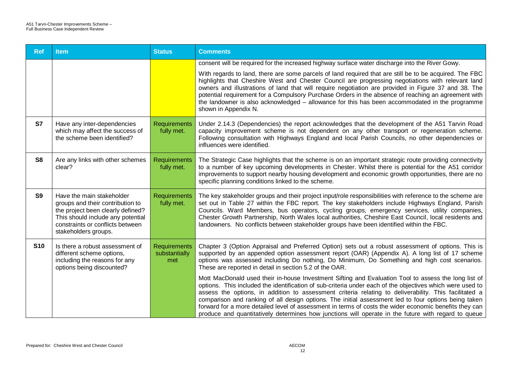| <b>Ref</b>     | <b>Item</b>                                                                                                                                                                                         | <b>Status</b>                               | <b>Comments</b>                                                                                                                                                                                                                                                                                                                                                                                                                                                                                                                                                                                                                                     |
|----------------|-----------------------------------------------------------------------------------------------------------------------------------------------------------------------------------------------------|---------------------------------------------|-----------------------------------------------------------------------------------------------------------------------------------------------------------------------------------------------------------------------------------------------------------------------------------------------------------------------------------------------------------------------------------------------------------------------------------------------------------------------------------------------------------------------------------------------------------------------------------------------------------------------------------------------------|
|                |                                                                                                                                                                                                     |                                             | consent will be required for the increased highway surface water discharge into the River Gowy.                                                                                                                                                                                                                                                                                                                                                                                                                                                                                                                                                     |
|                |                                                                                                                                                                                                     |                                             | With regards to land, there are some parcels of land required that are still be to be acquired. The FBC<br>highlights that Cheshire West and Chester Council are progressing negotiations with relevant land<br>owners and illustrations of land that will require negotiation are provided in Figure 37 and 38. The<br>potential requirement for a Compulsory Purchase Orders in the absence of reaching an agreement with<br>the landowner is also acknowledged - allowance for this has been accommodated in the programme<br>shown in Appendix N.                                                                                               |
| <b>S7</b>      | Have any inter-dependencies<br>which may affect the success of<br>the scheme been identified?                                                                                                       | <b>Requirements</b><br>fully met.           | Under 2.14.3 (Dependencies) the report acknowledges that the development of the A51 Tarvin Road<br>capacity improvement scheme is not dependent on any other transport or regeneration scheme.<br>Following consultation with Highways England and local Parish Councils, no other dependencies or<br>influences were identified.                                                                                                                                                                                                                                                                                                                   |
| S <sub>8</sub> | Are any links with other schemes<br>clear?                                                                                                                                                          | <b>Requirements</b><br>fully met.           | The Strategic Case highlights that the scheme is on an important strategic route providing connectivity<br>to a number of key upcoming developments in Chester. Whilst there is potential for the A51 corridor<br>improvements to support nearby housing development and economic growth opportunities, there are no<br>specific planning conditions linked to the scheme.                                                                                                                                                                                                                                                                          |
| <b>S9</b>      | Have the main stakeholder<br>groups and their contribution to<br>the project been clearly defined?<br>This should include any potential<br>constraints or conflicts between<br>stakeholders groups. | Requirements<br>fully met.                  | The key stakeholder groups and their project input/role responsibilities with reference to the scheme are<br>set out in Table 27 within the FBC report. The key stakeholders include Highways England, Parish<br>Councils. Ward Members, bus operators, cycling groups, emergency services, utility companies,<br>Chester Growth Partnership, North Wales local authorities, Cheshire East Council, local residents and<br>landowners. No conflicts between stakeholder groups have been identified within the FBC.                                                                                                                                 |
| <b>S10</b>     | Is there a robust assessment of<br>different scheme options,<br>including the reasons for any<br>options being discounted?                                                                          | <b>Requirements</b><br>substantially<br>met | Chapter 3 (Option Appraisal and Preferred Option) sets out a robust assessment of options. This is<br>supported by an appended option assessment report (OAR) (Appendix A). A long list of 17 scheme<br>options was assessed including Do nothing, Do Minimum, Do Something and high cost scenarios.<br>These are reported in detail in section 5.2 of the OAR.                                                                                                                                                                                                                                                                                     |
|                |                                                                                                                                                                                                     |                                             | Mott MacDonald used their in-house Investment Sifting and Evaluation Tool to assess the long list of<br>options. This included the identification of sub-criteria under each of the objectives which were used to<br>assess the options, in addition to assessment criteria relating to deliverability. This facilitated a<br>comparison and ranking of all design options. The initial assessment led to four options being taken<br>forward for a more detailed level of assessment in terms of costs the wider economic benefits they can<br>produce and quantitatively determines how junctions will operate in the future with regard to queue |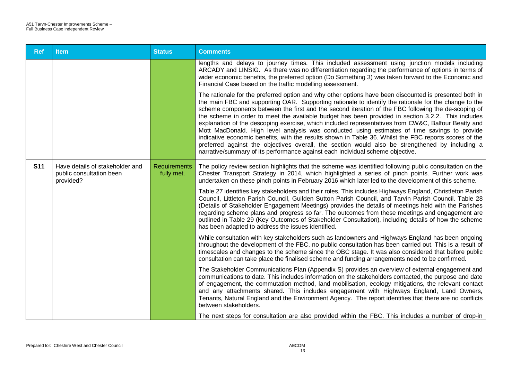| <b>Ref</b> | <b>Item</b>                                                              | <b>Status</b>                     | <b>Comments</b>                                                                                                                                                                                                                                                                                                                                                                                                                                                                                                                                                                                                                                                                                                                                                                                                                                                                                                                    |
|------------|--------------------------------------------------------------------------|-----------------------------------|------------------------------------------------------------------------------------------------------------------------------------------------------------------------------------------------------------------------------------------------------------------------------------------------------------------------------------------------------------------------------------------------------------------------------------------------------------------------------------------------------------------------------------------------------------------------------------------------------------------------------------------------------------------------------------------------------------------------------------------------------------------------------------------------------------------------------------------------------------------------------------------------------------------------------------|
|            |                                                                          |                                   | lengths and delays to journey times. This included assessment using junction models including<br>ARCADY and LINSIG. As there was no differentiation regarding the performance of options in terms of<br>wider economic benefits, the preferred option (Do Something 3) was taken forward to the Economic and<br>Financial Case based on the traffic modelling assessment.                                                                                                                                                                                                                                                                                                                                                                                                                                                                                                                                                          |
|            |                                                                          |                                   | The rationale for the preferred option and why other options have been discounted is presented both in<br>the main FBC and supporting OAR. Supporting rationale to identify the rationale for the change to the<br>scheme components between the first and the second iteration of the FBC following the de-scoping of<br>the scheme in order to meet the available budget has been provided in section 3.2.2. This includes<br>explanation of the descoping exercise, which included representatives from CW&C, Balfour Beatty and<br>Mott MacDonald. High level analysis was conducted using estimates of time savings to provide<br>indicative economic benefits, with the results shown in Table 36. Whilst the FBC reports scores of the<br>preferred against the objectives overall, the section would also be strengthened by including a<br>narrative/summary of its performance against each individual scheme objective. |
| <b>S11</b> | Have details of stakeholder and<br>public consultation been<br>provided? | <b>Requirements</b><br>fully met. | The policy review section highlights that the scheme was identified following public consultation on the<br>Chester Transport Strategy in 2014, which highlighted a series of pinch points. Further work was<br>undertaken on these pinch points in February 2016 which later led to the development of this scheme.                                                                                                                                                                                                                                                                                                                                                                                                                                                                                                                                                                                                               |
|            |                                                                          |                                   | Table 27 identifies key stakeholders and their roles. This includes Highways England, Christleton Parish<br>Council, Littleton Parish Council, Guilden Sutton Parish Council, and Tarvin Parish Council. Table 28<br>(Details of Stakeholder Engagement Meetings) provides the details of meetings held with the Parishes<br>regarding scheme plans and progress so far. The outcomes from these meetings and engagement are<br>outlined in Table 29 (Key Outcomes of Stakeholder Consultation), including details of how the scheme<br>has been adapted to address the issues identified.                                                                                                                                                                                                                                                                                                                                         |
|            |                                                                          |                                   | While consultation with key stakeholders such as landowners and Highways England has been ongoing<br>throughout the development of the FBC, no public consultation has been carried out. This is a result of<br>timescales and changes to the scheme since the OBC stage. It was also considered that before public<br>consultation can take place the finalised scheme and funding arrangements need to be confirmed.                                                                                                                                                                                                                                                                                                                                                                                                                                                                                                             |
|            |                                                                          |                                   | The Stakeholder Communications Plan (Appendix S) provides an overview of external engagement and<br>communications to date. This includes information on the stakeholders contacted, the purpose and date<br>of engagement, the commutation method, land mobilisation, ecology mitigations, the relevant contact<br>and any attachments shared. This includes engagement with Highways England, Land Owners,<br>Tenants, Natural England and the Environment Agency. The report identifies that there are no conflicts<br>between stakeholders.                                                                                                                                                                                                                                                                                                                                                                                    |
|            |                                                                          |                                   | The next steps for consultation are also provided within the FBC. This includes a number of drop-in                                                                                                                                                                                                                                                                                                                                                                                                                                                                                                                                                                                                                                                                                                                                                                                                                                |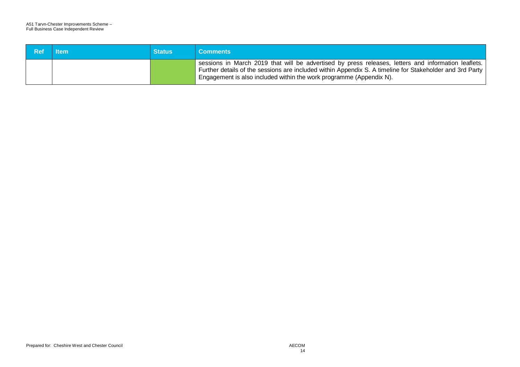| Ref | <b>Item</b> | <b>Status</b> | <b>Comments</b>                                                                                                                                                                                                                                                                        |
|-----|-------------|---------------|----------------------------------------------------------------------------------------------------------------------------------------------------------------------------------------------------------------------------------------------------------------------------------------|
|     |             |               | sessions in March 2019 that will be advertised by press releases, letters and information leaflets.<br>Further details of the sessions are included within Appendix S. A timeline for Stakeholder and 3rd Party<br>Engagement is also included within the work programme (Appendix N). |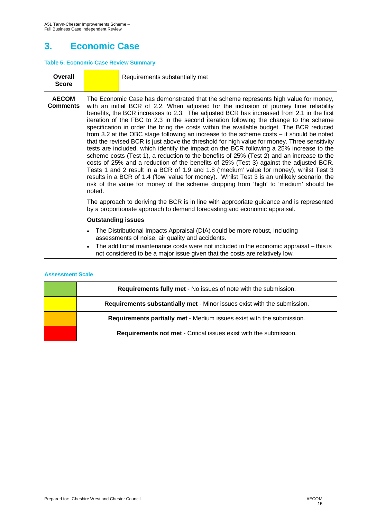# **3. Economic Case**

#### **Table 5: Economic Case Review Summary**

| Overall<br><b>Score</b>                                                                                                                                                                                                                                                                                                           |                                                                                                                                                                                                                                                                                                                                                                                                                                                                                                                                                                                                                                                                                                                                                                                                                                                                                                                                                                                                                                                                                                                                                                                                                                                                                                                                         | Requirements substantially met |  |  |
|-----------------------------------------------------------------------------------------------------------------------------------------------------------------------------------------------------------------------------------------------------------------------------------------------------------------------------------|-----------------------------------------------------------------------------------------------------------------------------------------------------------------------------------------------------------------------------------------------------------------------------------------------------------------------------------------------------------------------------------------------------------------------------------------------------------------------------------------------------------------------------------------------------------------------------------------------------------------------------------------------------------------------------------------------------------------------------------------------------------------------------------------------------------------------------------------------------------------------------------------------------------------------------------------------------------------------------------------------------------------------------------------------------------------------------------------------------------------------------------------------------------------------------------------------------------------------------------------------------------------------------------------------------------------------------------------|--------------------------------|--|--|
| <b>AECOM</b><br><b>Comments</b>                                                                                                                                                                                                                                                                                                   | The Economic Case has demonstrated that the scheme represents high value for money,<br>with an initial BCR of 2.2. When adjusted for the inclusion of journey time reliability<br>benefits, the BCR increases to 2.3. The adjusted BCR has increased from 2.1 in the first<br>iteration of the FBC to 2.3 in the second iteration following the change to the scheme<br>specification in order the bring the costs within the available budget. The BCR reduced<br>from 3.2 at the OBC stage following an increase to the scheme costs $-$ it should be noted<br>that the revised BCR is just above the threshold for high value for money. Three sensitivity<br>tests are included, which identify the impact on the BCR following a 25% increase to the<br>scheme costs (Test 1), a reduction to the benefits of 25% (Test 2) and an increase to the<br>costs of 25% and a reduction of the benefits of 25% (Test 3) against the adjusted BCR.<br>Tests 1 and 2 result in a BCR of 1.9 and 1.8 ('medium' value for money), whilst Test 3<br>results in a BCR of 1.4 ('low' value for money). Whilst Test 3 is an unlikely scenario, the<br>risk of the value for money of the scheme dropping from 'high' to 'medium' should be<br>noted.<br>The approach to deriving the BCR is in line with appropriate guidance and is represented |                                |  |  |
|                                                                                                                                                                                                                                                                                                                                   | <b>Outstanding issues</b>                                                                                                                                                                                                                                                                                                                                                                                                                                                                                                                                                                                                                                                                                                                                                                                                                                                                                                                                                                                                                                                                                                                                                                                                                                                                                                               |                                |  |  |
| The Distributional Impacts Appraisal (DIA) could be more robust, including<br>$\bullet$<br>assessments of noise, air quality and accidents.<br>The additional maintenance costs were not included in the economic appraisal - this is<br>$\bullet$<br>not considered to be a major issue given that the costs are relatively low. |                                                                                                                                                                                                                                                                                                                                                                                                                                                                                                                                                                                                                                                                                                                                                                                                                                                                                                                                                                                                                                                                                                                                                                                                                                                                                                                                         |                                |  |  |

| <b>Requirements fully met - No issues of note with the submission.</b>   |
|--------------------------------------------------------------------------|
| Requirements substantially met - Minor issues exist with the submission. |
| Requirements partially met - Medium issues exist with the submission.    |
| <b>Requirements not met - Critical issues exist with the submission.</b> |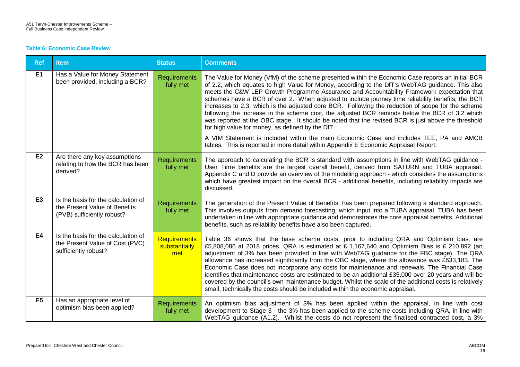#### **Table 6: Economic Case Review**

| <b>Ref</b>     | <b>Item</b>                                                                                        | <b>Status</b>                               | <b>Comments</b>                                                                                                                                                                                                                                                                                                                                                                                                                                                                                                                                                                                                                                                                                                                                                                                                                                                                                                                                              |
|----------------|----------------------------------------------------------------------------------------------------|---------------------------------------------|--------------------------------------------------------------------------------------------------------------------------------------------------------------------------------------------------------------------------------------------------------------------------------------------------------------------------------------------------------------------------------------------------------------------------------------------------------------------------------------------------------------------------------------------------------------------------------------------------------------------------------------------------------------------------------------------------------------------------------------------------------------------------------------------------------------------------------------------------------------------------------------------------------------------------------------------------------------|
| <b>E1</b>      | Has a Value for Money Statement<br>been provided, including a BCR?                                 | Requirements<br>fully met                   | The Value for Money (VfM) of the scheme presented within the Economic Case reports an initial BCR<br>of 2.2, which equates to high Value for Money, according to the DfT's WebTAG guidance. This also<br>meets the C&W LEP Growth Programme Assurance and Accountability Framework expectation that<br>schemes have a BCR of over 2. When adjusted to include journey time reliability benefits, the BCR<br>increases to 2.3, which is the adjusted core BCR. Following the reduction of scope for the scheme<br>following the increase in the scheme cost, the adjusted BCR reminds below the BCR of 3.2 which<br>was reported at the OBC stage. It should be noted that the revised BCR is just above the threshold<br>for high value for money, as defined by the DfT.<br>A VfM Statement is included within the main Economic Case and includes TEE, PA and AMCB<br>tables. This is reported in more detail within Appendix E Economic Appraisal Report. |
| E2             | Are there any key assumptions<br>relating to how the BCR has been<br>derived?                      | <b>Requirements</b><br>fully met            | The approach to calculating the BCR is standard with assumptions in line with WebTAG guidance -<br>User Time benefits are the largest overall benefit, derived from SATURN and TUBA appraisal.<br>Appendix C and D provide an overview of the modelling approach - which considers the assumptions<br>which have greatest impact on the overall BCR - additional benefits, including reliability impacts are<br>discussed.                                                                                                                                                                                                                                                                                                                                                                                                                                                                                                                                   |
| E <sub>3</sub> | Is the basis for the calculation of<br>the Present Value of Benefits<br>(PVB) sufficiently robust? | Requirements<br>fully met                   | The generation of the Present Value of Benefits, has been prepared following a standard approach.<br>This involves outputs from demand forecasting, which input into a TUBA appraisal. TUBA has been<br>undertaken in line with appropriate guidance and demonstrates the core appraisal benefits. Additional<br>benefits, such as reliability benefits have also been captured.                                                                                                                                                                                                                                                                                                                                                                                                                                                                                                                                                                             |
| E4             | Is the basis for the calculation of<br>the Present Value of Cost (PVC)<br>sufficiently robust?     | <b>Requirements</b><br>substantially<br>met | Table 36 shows that the base scheme costs, prior to including QRA and Optimism bias, are<br>£5,808,086 at 2018 prices. QRA is estimated at £1,167,640 and Optimism Bias is £ 210,892 (an<br>adjustment of 3% has been provided in line with WebTAG guidance for the FBC stage). The QRA<br>allowance has increased significantly from the OBC stage, where the allowance was £633,183. The<br>Economic Case does not incorporate any costs for maintenance and renewals. The Financial Case<br>identifies that maintenance costs are estimated to be an additional £35,000 over 20 years and will be<br>covered by the council's own maintenance budget. Whilst the scale of the additional costs is relatively<br>small, technically the costs should be included within the economic appraisal.                                                                                                                                                            |
| E <sub>5</sub> | Has an appropriate level of<br>optimism bias been applied?                                         | <b>Requirements</b><br>fully met            | An optimism bias adjustment of 3% has been applied within the appraisal, in line with cost<br>development to Stage 3 - the 3% has been applied to the scheme costs including QRA, in line with<br>WebTAG guidance (A1.2). Whilst the costs do not represent the finalised contracted cost, a 3%                                                                                                                                                                                                                                                                                                                                                                                                                                                                                                                                                                                                                                                              |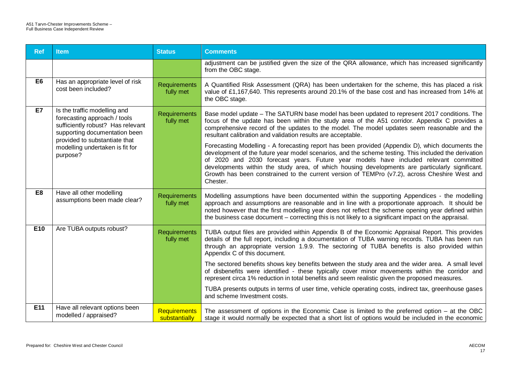| <b>Ref</b>     | <b>Item</b>                                                                                                                                                                                                        | <b>Status</b>                        | <b>Comments</b>                                                                                                                                                                                                                                                                                                                                                                                                                                                                                                                                                                                                                                                                                                                                                                                                                                                                  |
|----------------|--------------------------------------------------------------------------------------------------------------------------------------------------------------------------------------------------------------------|--------------------------------------|----------------------------------------------------------------------------------------------------------------------------------------------------------------------------------------------------------------------------------------------------------------------------------------------------------------------------------------------------------------------------------------------------------------------------------------------------------------------------------------------------------------------------------------------------------------------------------------------------------------------------------------------------------------------------------------------------------------------------------------------------------------------------------------------------------------------------------------------------------------------------------|
|                |                                                                                                                                                                                                                    |                                      | adjustment can be justified given the size of the QRA allowance, which has increased significantly<br>from the OBC stage.                                                                                                                                                                                                                                                                                                                                                                                                                                                                                                                                                                                                                                                                                                                                                        |
| E <sub>6</sub> | Has an appropriate level of risk<br>cost been included?                                                                                                                                                            | <b>Requirements</b><br>fully met     | A Quantified Risk Assessment (QRA) has been undertaken for the scheme, this has placed a risk<br>value of £1,167,640. This represents around 20.1% of the base cost and has increased from 14% at<br>the OBC stage.                                                                                                                                                                                                                                                                                                                                                                                                                                                                                                                                                                                                                                                              |
| E7             | Is the traffic modelling and<br>forecasting approach / tools<br>sufficiently robust? Has relevant<br>supporting documentation been<br>provided to substantiate that<br>modelling undertaken is fit for<br>purpose? | <b>Requirements</b><br>fully met     | Base model update - The SATURN base model has been updated to represent 2017 conditions. The<br>focus of the update has been within the study area of the A51 corridor. Appendix C provides a<br>comprehensive record of the updates to the model. The model updates seem reasonable and the<br>resultant calibration and validation results are acceptable.<br>Forecasting Modelling - A forecasting report has been provided (Appendix D), which documents the<br>development of the future year model scenarios, and the scheme testing. This included the derivation<br>of 2020 and 2030 forecast years. Future year models have included relevant committed<br>developments within the study area, of which housing developments are particularly significant.<br>Growth has been constrained to the current version of TEMPro (v7.2), across Cheshire West and<br>Chester. |
| E <sub>8</sub> | Have all other modelling<br>assumptions been made clear?                                                                                                                                                           | <b>Requirements</b><br>fully met     | Modelling assumptions have been documented within the supporting Appendices - the modelling<br>approach and assumptions are reasonable and in line with a proportionate approach. It should be<br>noted however that the first modelling year does not reflect the scheme opening year defined within<br>the business case document – correcting this is not likely to a significant impact on the appraisal.                                                                                                                                                                                                                                                                                                                                                                                                                                                                    |
| E10            | Are TUBA outputs robust?                                                                                                                                                                                           | Requirements<br>fully met            | TUBA output files are provided within Appendix B of the Economic Appraisal Report. This provides<br>details of the full report, including a documentation of TUBA warning records. TUBA has been run<br>through an appropriate version 1.9.9. The sectoring of TUBA benefits is also provided within<br>Appendix C of this document.                                                                                                                                                                                                                                                                                                                                                                                                                                                                                                                                             |
|                |                                                                                                                                                                                                                    |                                      | The sectored benefits shows key benefits between the study area and the wider area. A small level<br>of disbenefits were identified - these typically cover minor movements within the corridor and<br>represent circa 1% reduction in total benefits and seem realistic given the proposed measures.                                                                                                                                                                                                                                                                                                                                                                                                                                                                                                                                                                            |
|                |                                                                                                                                                                                                                    |                                      | TUBA presents outputs in terms of user time, vehicle operating costs, indirect tax, greenhouse gases<br>and scheme Investment costs.                                                                                                                                                                                                                                                                                                                                                                                                                                                                                                                                                                                                                                                                                                                                             |
| E11            | Have all relevant options been<br>modelled / appraised?                                                                                                                                                            | <b>Requirements</b><br>substantially | The assessment of options in the Economic Case is limited to the preferred option $-$ at the OBC<br>stage it would normally be expected that a short list of options would be included in the economic                                                                                                                                                                                                                                                                                                                                                                                                                                                                                                                                                                                                                                                                           |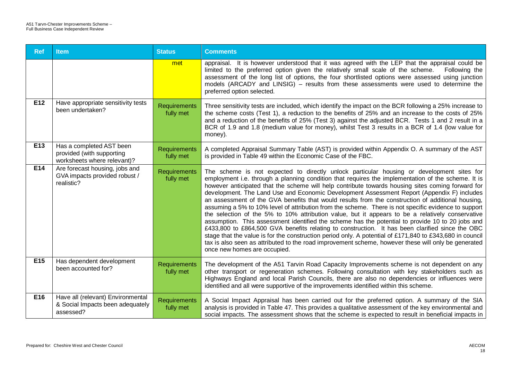| <b>Ref</b>      | <b>Item</b>                                                                          | <b>Status</b>                    | <b>Comments</b>                                                                                                                                                                                                                                                                                                                                                                                                                                                                                                                                                                                                                                                                                                                                                                                                                                                                                                                                                                                                                                                                                                                                                               |
|-----------------|--------------------------------------------------------------------------------------|----------------------------------|-------------------------------------------------------------------------------------------------------------------------------------------------------------------------------------------------------------------------------------------------------------------------------------------------------------------------------------------------------------------------------------------------------------------------------------------------------------------------------------------------------------------------------------------------------------------------------------------------------------------------------------------------------------------------------------------------------------------------------------------------------------------------------------------------------------------------------------------------------------------------------------------------------------------------------------------------------------------------------------------------------------------------------------------------------------------------------------------------------------------------------------------------------------------------------|
|                 |                                                                                      | met                              | appraisal. It is however understood that it was agreed with the LEP that the appraisal could be<br>limited to the preferred option given the relatively small scale of the scheme.<br>Following the<br>assessment of the long list of options, the four shortlisted options were assessed using junction<br>models (ARCADY and LINSIG) – results from these assessments were used to determine the<br>preferred option selected.                                                                                                                                                                                                                                                                                                                                                                                                                                                                                                                                                                                                                                                                                                                                              |
| E12             | Have appropriate sensitivity tests<br>been undertaken?                               | <b>Requirements</b><br>fully met | Three sensitivity tests are included, which identify the impact on the BCR following a 25% increase to<br>the scheme costs (Test 1), a reduction to the benefits of 25% and an increase to the costs of 25%<br>and a reduction of the benefits of 25% (Test 3) against the adjusted BCR. Tests 1 and 2 result in a<br>BCR of 1.9 and 1.8 (medium value for money), whilst Test 3 results in a BCR of 1.4 (low value for<br>money).                                                                                                                                                                                                                                                                                                                                                                                                                                                                                                                                                                                                                                                                                                                                            |
| E13             | Has a completed AST been<br>provided (with supporting<br>worksheets where relevant)? | Requirements<br>fully met        | A completed Appraisal Summary Table (AST) is provided within Appendix O. A summary of the AST<br>is provided in Table 49 within the Economic Case of the FBC.                                                                                                                                                                                                                                                                                                                                                                                                                                                                                                                                                                                                                                                                                                                                                                                                                                                                                                                                                                                                                 |
| E14             | Are forecast housing, jobs and<br>GVA impacts provided robust /<br>realistic?        | <b>Requirements</b><br>fully met | The scheme is not expected to directly unlock particular housing or development sites for<br>employment i.e. through a planning condition that requires the implementation of the scheme. It is<br>however anticipated that the scheme will help contribute towards housing sites coming forward for<br>development. The Land Use and Economic Development Assessment Report (Appendix F) includes<br>an assessment of the GVA benefits that would results from the construction of additional housing,<br>assuming a 5% to 10% level of attribution from the scheme. There is not specific evidence to support<br>the selection of the 5% to 10% attribution value, but it appears to be a relatively conservative<br>assumption. This assessment identified the scheme has the potential to provide 10 to 20 jobs and<br>£433,800 to £864,500 GVA benefits relating to construction. It has been clarified since the OBC<br>stage that the value is for the construction period only. A potential of £171,840 to £343,680 in council<br>tax is also seen as attributed to the road improvement scheme, however these will only be generated<br>once new homes are occupied. |
| E <sub>15</sub> | Has dependent development<br>been accounted for?                                     | <b>Requirements</b><br>fully met | The development of the A51 Tarvin Road Capacity Improvements scheme is not dependent on any<br>other transport or regeneration schemes. Following consultation with key stakeholders such as<br>Highways England and local Parish Councils, there are also no dependencies or influences were<br>identified and all were supportive of the improvements identified within this scheme.                                                                                                                                                                                                                                                                                                                                                                                                                                                                                                                                                                                                                                                                                                                                                                                        |
| E16             | Have all (relevant) Environmental<br>& Social Impacts been adequately<br>assessed?   | <b>Requirements</b><br>fully met | A Social Impact Appraisal has been carried out for the preferred option. A summary of the SIA<br>analysis is provided in Table 47. This provides a qualitative assessment of the key environmental and<br>social impacts. The assessment shows that the scheme is expected to result in beneficial impacts in                                                                                                                                                                                                                                                                                                                                                                                                                                                                                                                                                                                                                                                                                                                                                                                                                                                                 |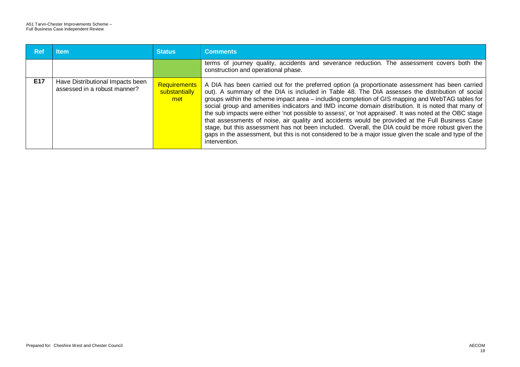| <b>Ref</b> | ltem                                                             | <b>Status</b>                        | <b>Comments</b>                                                                                                                                                                                                                                                                                                                                                                                                                                                                                                                                                                                                                                                                                                                                                                                                                                              |
|------------|------------------------------------------------------------------|--------------------------------------|--------------------------------------------------------------------------------------------------------------------------------------------------------------------------------------------------------------------------------------------------------------------------------------------------------------------------------------------------------------------------------------------------------------------------------------------------------------------------------------------------------------------------------------------------------------------------------------------------------------------------------------------------------------------------------------------------------------------------------------------------------------------------------------------------------------------------------------------------------------|
|            |                                                                  |                                      | terms of journey quality, accidents and severance reduction. The assessment covers both the<br>construction and operational phase.                                                                                                                                                                                                                                                                                                                                                                                                                                                                                                                                                                                                                                                                                                                           |
| E17        | Have Distributional Impacts been<br>assessed in a robust manner? | Requirements<br>substantially<br>met | A DIA has been carried out for the preferred option (a proportionate assessment has been carried<br>out). A summary of the DIA is included in Table 48. The DIA assesses the distribution of social<br>groups within the scheme impact area - including completion of GIS mapping and WebTAG tables for<br>social group and amenities indicators and IMD income domain distribution. It is noted that many of<br>the sub impacts were either 'not possible to assess', or 'not appraised'. It was noted at the OBC stage<br>that assessments of noise, air quality and accidents would be provided at the Full Business Case<br>stage, but this assessment has not been included. Overall, the DIA could be more robust given the<br>gaps in the assessment, but this is not considered to be a major issue given the scale and type of the<br>intervention. |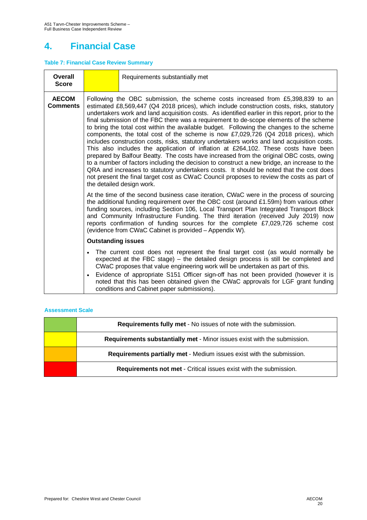# **4. Financial Case**

### **Table 7: Financial Case Review Summary**

| Overall<br><b>Score</b>         |                                                                                                                                                                                                                                                                                                                                                                                                                                                                                                                                                                                                                                                                                                                                                                                                                                                                                                                                                                                                                                                                                                                                                                | Requirements substantially met                                                                                                                                                                                                                                                                                                                                                                                                                                                                                   |  |  |  |
|---------------------------------|----------------------------------------------------------------------------------------------------------------------------------------------------------------------------------------------------------------------------------------------------------------------------------------------------------------------------------------------------------------------------------------------------------------------------------------------------------------------------------------------------------------------------------------------------------------------------------------------------------------------------------------------------------------------------------------------------------------------------------------------------------------------------------------------------------------------------------------------------------------------------------------------------------------------------------------------------------------------------------------------------------------------------------------------------------------------------------------------------------------------------------------------------------------|------------------------------------------------------------------------------------------------------------------------------------------------------------------------------------------------------------------------------------------------------------------------------------------------------------------------------------------------------------------------------------------------------------------------------------------------------------------------------------------------------------------|--|--|--|
| <b>AECOM</b><br><b>Comments</b> | Following the OBC submission, the scheme costs increased from £5,398,839 to an<br>estimated £8,569,447 (Q4 2018 prices), which include construction costs, risks, statutory<br>undertakers work and land acquisition costs. As identified earlier in this report, prior to the<br>final submission of the FBC there was a requirement to de-scope elements of the scheme<br>to bring the total cost within the available budget. Following the changes to the scheme<br>components, the total cost of the scheme is now £7,029,726 (Q4 2018 prices), which<br>includes construction costs, risks, statutory undertakers works and land acquisition costs.<br>This also includes the application of inflation at £264,102. These costs have been<br>prepared by Balfour Beatty. The costs have increased from the original OBC costs, owing<br>to a number of factors including the decision to construct a new bridge, an increase to the<br>QRA and increases to statutory undertakers costs. It should be noted that the cost does<br>not present the final target cost as CWaC Council proposes to review the costs as part of<br>the detailed design work. |                                                                                                                                                                                                                                                                                                                                                                                                                                                                                                                  |  |  |  |
|                                 |                                                                                                                                                                                                                                                                                                                                                                                                                                                                                                                                                                                                                                                                                                                                                                                                                                                                                                                                                                                                                                                                                                                                                                | At the time of the second business case iteration, CWaC were in the process of sourcing<br>the additional funding requirement over the OBC cost (around £1.59m) from various other<br>funding sources, including Section 106, Local Transport Plan Integrated Transport Block<br>and Community Infrastructure Funding. The third iteration (received July 2019) now<br>reports confirmation of funding sources for the complete £7,029,726 scheme cost<br>(evidence from CWaC Cabinet is provided - Appendix W). |  |  |  |
|                                 | <b>Outstanding issues</b>                                                                                                                                                                                                                                                                                                                                                                                                                                                                                                                                                                                                                                                                                                                                                                                                                                                                                                                                                                                                                                                                                                                                      |                                                                                                                                                                                                                                                                                                                                                                                                                                                                                                                  |  |  |  |
|                                 |                                                                                                                                                                                                                                                                                                                                                                                                                                                                                                                                                                                                                                                                                                                                                                                                                                                                                                                                                                                                                                                                                                                                                                | The current cost does not represent the final target cost (as would normally be<br>expected at the FBC stage) – the detailed design process is still be completed and<br>CWaC proposes that value engineering work will be undertaken as part of this.<br>Evidence of appropriate S151 Officer sign-off has not been provided (however it is<br>noted that this has been obtained given the CWaC approvals for LGF grant funding<br>conditions and Cabinet paper submissions).                                   |  |  |  |

| <b>Requirements fully met - No issues of note with the submission.</b>   |
|--------------------------------------------------------------------------|
| Requirements substantially met - Minor issues exist with the submission. |
| Requirements partially met - Medium issues exist with the submission.    |
| <b>Requirements not met - Critical issues exist with the submission.</b> |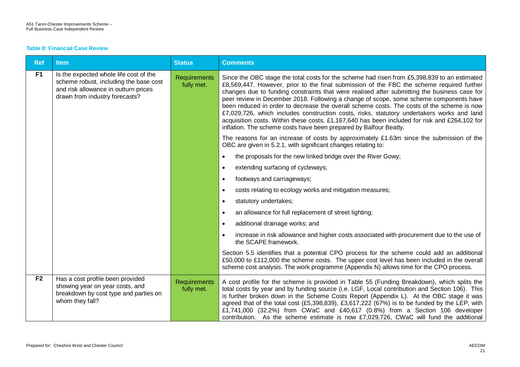#### **Table 8: Financial Case Review**

| <b>Ref</b>     | <b>Item</b>                                                                                                                                                | <b>Status</b>                     | <b>Comments</b>                                                                                                                                                                                                                                                                                                                                                                                                                                                                                                                                                                                                                                                                                                                                       |
|----------------|------------------------------------------------------------------------------------------------------------------------------------------------------------|-----------------------------------|-------------------------------------------------------------------------------------------------------------------------------------------------------------------------------------------------------------------------------------------------------------------------------------------------------------------------------------------------------------------------------------------------------------------------------------------------------------------------------------------------------------------------------------------------------------------------------------------------------------------------------------------------------------------------------------------------------------------------------------------------------|
| F <sub>1</sub> | Is the expected whole life cost of the<br>scheme robust, including the base cost<br>and risk allowance in outturn prices<br>drawn from industry forecasts? | <b>Requirements</b><br>fully met. | Since the OBC stage the total costs for the scheme had risen from £5,398,839 to an estimated<br>£8,569,447. However, prior to the final submission of the FBC the scheme required further<br>changes due to funding constraints that were realised after submitting the business case for<br>peer review in December 2018. Following a change of scope, some scheme components have<br>been reduced in order to decrease the overall scheme costs. The costs of the scheme is now<br>£7,029,726, which includes construction costs, risks, statutory undertakers works and land<br>acquisition costs. Within these costs, £1,167,640 has been included for risk and £264,102 for<br>inflation. The scheme costs have been prepared by Balfour Beatty. |
|                |                                                                                                                                                            |                                   | The reasons for an increase of costs by approximately £1.63m since the submission of the<br>OBC are given in 5.2.1, with significant changes relating to:                                                                                                                                                                                                                                                                                                                                                                                                                                                                                                                                                                                             |
|                |                                                                                                                                                            |                                   | the proposals for the new linked bridge over the River Gowy;                                                                                                                                                                                                                                                                                                                                                                                                                                                                                                                                                                                                                                                                                          |
|                |                                                                                                                                                            |                                   | extending surfacing of cycleways;<br>$\bullet$                                                                                                                                                                                                                                                                                                                                                                                                                                                                                                                                                                                                                                                                                                        |
|                |                                                                                                                                                            |                                   | footways and carriageways;<br>$\bullet$                                                                                                                                                                                                                                                                                                                                                                                                                                                                                                                                                                                                                                                                                                               |
|                |                                                                                                                                                            |                                   | costs relating to ecology works and mitigation measures;<br>$\bullet$                                                                                                                                                                                                                                                                                                                                                                                                                                                                                                                                                                                                                                                                                 |
|                |                                                                                                                                                            |                                   | statutory undertakes;<br>$\bullet$                                                                                                                                                                                                                                                                                                                                                                                                                                                                                                                                                                                                                                                                                                                    |
|                |                                                                                                                                                            |                                   | an allowance for full replacement of street lighting;<br>$\bullet$                                                                                                                                                                                                                                                                                                                                                                                                                                                                                                                                                                                                                                                                                    |
|                |                                                                                                                                                            |                                   | additional drainage works; and<br>$\bullet$                                                                                                                                                                                                                                                                                                                                                                                                                                                                                                                                                                                                                                                                                                           |
|                |                                                                                                                                                            |                                   | increase in risk allowance and higher costs associated with procurement due to the use of<br>the SCAPE framework.                                                                                                                                                                                                                                                                                                                                                                                                                                                                                                                                                                                                                                     |
|                |                                                                                                                                                            |                                   | Section 5.5 identifies that a potential CPO process for the scheme could add an additional<br>£50,000 to £112,000 the scheme costs. The upper cost level has been included in the overall<br>scheme cost analysis. The work programme (Appendix N) allows time for the CPO process.                                                                                                                                                                                                                                                                                                                                                                                                                                                                   |
| F <sub>2</sub> | Has a cost profile been provided<br>showing year on year costs, and<br>breakdown by cost type and parties on<br>whom they fall?                            | <b>Requirements</b><br>fully met. | A cost profile for the scheme is provided in Table 55 (Funding Breakdown), which splits the<br>total costs by year and by funding source (i.e. LGF, Local contribution and Section 106). This<br>is further broken down in the Scheme Costs Report (Appendix L). At the OBC stage it was<br>agreed that of the total cost (£5,398,839), £3,617,222 (67%) is to be funded by the LEP, with<br>£1,741,000 (32.2%) from CWaC and £40,617 (0.8%) from a Section 106 developer<br>contribution. As the scheme estimate is now £7,029,726, CWaC will fund the additional                                                                                                                                                                                    |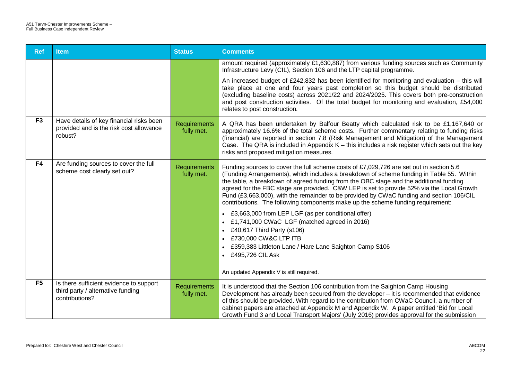| <b>Ref</b>     | <b>Item</b>                                                                                    | <b>Status</b>                     | <b>Comments</b>                                                                                                                                                                                                                                                                                                                                                                                                                                                                                                                                           |
|----------------|------------------------------------------------------------------------------------------------|-----------------------------------|-----------------------------------------------------------------------------------------------------------------------------------------------------------------------------------------------------------------------------------------------------------------------------------------------------------------------------------------------------------------------------------------------------------------------------------------------------------------------------------------------------------------------------------------------------------|
|                |                                                                                                |                                   | amount required (approximately £1,630,887) from various funding sources such as Community<br>Infrastructure Levy (CIL), Section 106 and the LTP capital programme.                                                                                                                                                                                                                                                                                                                                                                                        |
|                |                                                                                                |                                   | An increased budget of £242,832 has been identified for monitoring and evaluation – this will<br>take place at one and four years past completion so this budget should be distributed<br>(excluding baseline costs) across 2021/22 and 2024/2025. This covers both pre-construction<br>and post construction activities. Of the total budget for monitoring and evaluation, £54,000<br>relates to post construction.                                                                                                                                     |
| F <sub>3</sub> | Have details of key financial risks been<br>provided and is the risk cost allowance<br>robust? | <b>Requirements</b><br>fully met. | A QRA has been undertaken by Balfour Beatty which calculated risk to be £1,167,640 or<br>approximately 16.6% of the total scheme costs. Further commentary relating to funding risks<br>(financial) are reported in section 7.8 (Risk Management and Mitigation) of the Management<br>Case. The QRA is included in Appendix $K -$ this includes a risk register which sets out the key<br>risks and proposed mitigation measures.                                                                                                                         |
| F <sub>4</sub> | Are funding sources to cover the full<br>scheme cost clearly set out?                          | <b>Requirements</b><br>fully met. | Funding sources to cover the full scheme costs of £7,029,726 are set out in section 5.6<br>(Funding Arrangements), which includes a breakdown of scheme funding in Table 55. Within<br>the table, a breakdown of agreed funding from the OBC stage and the additional funding<br>agreed for the FBC stage are provided. C&W LEP is set to provide 52% via the Local Growth<br>Fund (£3,663,000), with the remainder to be provided by CWaC funding and section 106/CIL<br>contributions. The following components make up the scheme funding requirement: |
|                |                                                                                                |                                   | • £3,663,000 from LEP LGF (as per conditional offer)<br>• £1,741,000 CWaC LGF (matched agreed in 2016)<br>£40,617 Third Party (s106)<br>£730,000 CW&C LTP ITB<br>£359,383 Littleton Lane / Hare Lane Saighton Camp S106<br>• £495,726 CIL Ask                                                                                                                                                                                                                                                                                                             |
|                |                                                                                                |                                   | An updated Appendix V is still required.                                                                                                                                                                                                                                                                                                                                                                                                                                                                                                                  |
| F <sub>5</sub> | Is there sufficient evidence to support<br>third party / alternative funding<br>contributions? | <b>Requirements</b><br>fully met. | It is understood that the Section 106 contribution from the Saighton Camp Housing<br>Development has already been secured from the developer - it is recommended that evidence<br>of this should be provided. With regard to the contribution from CWaC Council, a number of<br>cabinet papers are attached at Appendix M and Appendix W. A paper entitled 'Bid for Local<br>Growth Fund 3 and Local Transport Majors' (July 2016) provides approval for the submission                                                                                   |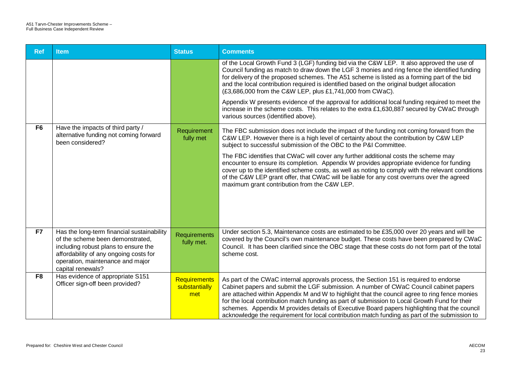| <b>Ref</b>     | <b>Item</b>                                                                                                                                                                                                               | <b>Status</b>                               | <b>Comments</b>                                                                                                                                                                                                                                                                                                                                                                                                                                                                                                                                                                                                                                                                               |
|----------------|---------------------------------------------------------------------------------------------------------------------------------------------------------------------------------------------------------------------------|---------------------------------------------|-----------------------------------------------------------------------------------------------------------------------------------------------------------------------------------------------------------------------------------------------------------------------------------------------------------------------------------------------------------------------------------------------------------------------------------------------------------------------------------------------------------------------------------------------------------------------------------------------------------------------------------------------------------------------------------------------|
|                |                                                                                                                                                                                                                           |                                             | of the Local Growth Fund 3 (LGF) funding bid via the C&W LEP. It also approved the use of<br>Council funding as match to draw down the LGF 3 monies and ring fence the identified funding<br>for delivery of the proposed schemes. The A51 scheme is listed as a forming part of the bid<br>and the local contribution required is identified based on the original budget allocation<br>(£3,686,000 from the C&W LEP, plus £1,741,000 from CWaC).<br>Appendix W presents evidence of the approval for additional local funding required to meet the<br>increase in the scheme costs. This relates to the extra £1,630,887 secured by CWaC through<br>various sources (identified above).     |
| F <sub>6</sub> | Have the impacts of third party /<br>alternative funding not coming forward<br>been considered?                                                                                                                           | Requirement<br>fully met                    | The FBC submission does not include the impact of the funding not coming forward from the<br>C&W LEP. However there is a high level of certainty about the contribution by C&W LEP<br>subject to successful submission of the OBC to the P&I Committee.<br>The FBC identifies that CWaC will cover any further additional costs the scheme may<br>encounter to ensure its completion. Appendix W provides appropriate evidence for funding<br>cover up to the identified scheme costs, as well as noting to comply with the relevant conditions<br>of the C&W LEP grant offer, that CWaC will be liable for any cost overruns over the agreed<br>maximum grant contribution from the C&W LEP. |
| F7             | Has the long-term financial sustainability<br>of the scheme been demonstrated,<br>including robust plans to ensure the<br>affordability of any ongoing costs for<br>operation, maintenance and major<br>capital renewals? | Requirements<br>fully met.                  | Under section 5.3, Maintenance costs are estimated to be £35,000 over 20 years and will be<br>covered by the Council's own maintenance budget. These costs have been prepared by CWaC<br>Council. It has been clarified since the OBC stage that these costs do not form part of the total<br>scheme cost.                                                                                                                                                                                                                                                                                                                                                                                    |
| F <sub>8</sub> | Has evidence of appropriate S151<br>Officer sign-off been provided?                                                                                                                                                       | <b>Requirements</b><br>substantially<br>met | As part of the CWaC internal approvals process, the Section 151 is required to endorse<br>Cabinet papers and submit the LGF submission. A number of CWaC Council cabinet papers<br>are attached within Appendix M and W to highlight that the council agree to ring fence monies<br>for the local contribution match funding as part of submission to Local Growth Fund for their<br>schemes. Appendix M provides details of Executive Board papers highlighting that the council<br>acknowledge the requirement for local contribution match funding as part of the submission to                                                                                                            |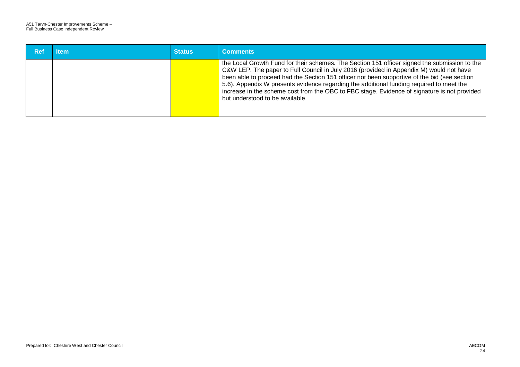| Ref | <b>Item</b> | <b>Status</b> | <b>Comments</b>                                                                                                                                                                                                                                                                                                                                                                                                                                                                                                         |
|-----|-------------|---------------|-------------------------------------------------------------------------------------------------------------------------------------------------------------------------------------------------------------------------------------------------------------------------------------------------------------------------------------------------------------------------------------------------------------------------------------------------------------------------------------------------------------------------|
|     |             |               | the Local Growth Fund for their schemes. The Section 151 officer signed the submission to the<br>C&W LEP. The paper to Full Council in July 2016 (provided in Appendix M) would not have<br>been able to proceed had the Section 151 officer not been supportive of the bid (see section<br>5.6). Appendix W presents evidence regarding the additional funding required to meet the<br>increase in the scheme cost from the OBC to FBC stage. Evidence of signature is not provided<br>but understood to be available. |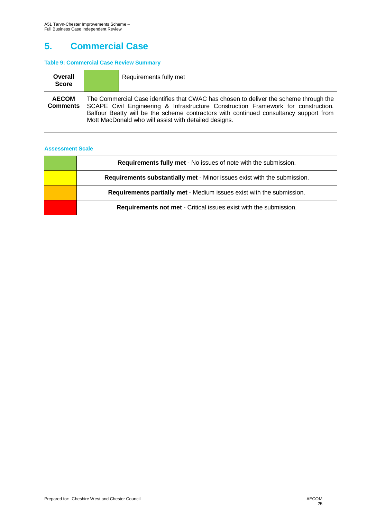# **5. Commercial Case**

#### **Table 9: Commercial Case Review Summary**

| Overall<br><b>Score</b>         | Requirements fully met                                                                                                                                                                                                                                                                                                       |
|---------------------------------|------------------------------------------------------------------------------------------------------------------------------------------------------------------------------------------------------------------------------------------------------------------------------------------------------------------------------|
| <b>AECOM</b><br><b>Comments</b> | The Commercial Case identifies that CWAC has chosen to deliver the scheme through the<br>SCAPE Civil Engineering & Infrastructure Construction Framework for construction.<br>Balfour Beatty will be the scheme contractors with continued consultancy support from<br>Mott MacDonald who will assist with detailed designs. |

| <b>Requirements fully met - No issues of note with the submission.</b>   |
|--------------------------------------------------------------------------|
| Requirements substantially met - Minor issues exist with the submission. |
| Requirements partially met - Medium issues exist with the submission.    |
| <b>Requirements not met - Critical issues exist with the submission.</b> |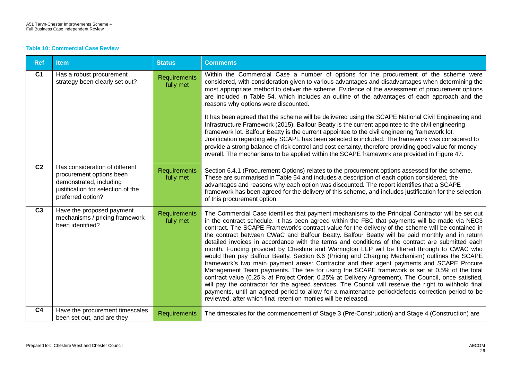#### **Table 10: Commercial Case Review**

| <b>Ref</b>     | <b>Item</b>                                                                                                                                      | <b>Status</b>                    | <b>Comments</b>                                                                                                                                                                                                                                                                                                                                                                                                                                                                                                                                                                                                                                                                                                                                                                                                                                                                                                                                                                                                                                                                                                                                                                                                                                                                                        |
|----------------|--------------------------------------------------------------------------------------------------------------------------------------------------|----------------------------------|--------------------------------------------------------------------------------------------------------------------------------------------------------------------------------------------------------------------------------------------------------------------------------------------------------------------------------------------------------------------------------------------------------------------------------------------------------------------------------------------------------------------------------------------------------------------------------------------------------------------------------------------------------------------------------------------------------------------------------------------------------------------------------------------------------------------------------------------------------------------------------------------------------------------------------------------------------------------------------------------------------------------------------------------------------------------------------------------------------------------------------------------------------------------------------------------------------------------------------------------------------------------------------------------------------|
| C <sub>1</sub> | Has a robust procurement<br>strategy been clearly set out?                                                                                       | <b>Requirements</b><br>fully met | Within the Commercial Case a number of options for the procurement of the scheme were<br>considered, with consideration given to various advantages and disadvantages when determining the<br>most appropriate method to deliver the scheme. Evidence of the assessment of procurement options<br>are included in Table 54, which includes an outline of the advantages of each approach and the<br>reasons why options were discounted.<br>It has been agreed that the scheme will be delivered using the SCAPE National Civil Engineering and<br>Infrastructure Framework (2015). Balfour Beatty is the current appointee to the civil engineering<br>framework lot. Balfour Beatty is the current appointee to the civil engineering framework lot.<br>Justification regarding why SCAPE has been selected is included. The framework was considered to<br>provide a strong balance of risk control and cost certainty, therefore providing good value for money<br>overall. The mechanisms to be applied within the SCAPE framework are provided in Figure 47.                                                                                                                                                                                                                                     |
|                |                                                                                                                                                  |                                  |                                                                                                                                                                                                                                                                                                                                                                                                                                                                                                                                                                                                                                                                                                                                                                                                                                                                                                                                                                                                                                                                                                                                                                                                                                                                                                        |
| C <sub>2</sub> | Has consideration of different<br>procurement options been<br>demonstrated, including<br>justification for selection of the<br>preferred option? | <b>Requirements</b><br>fully met | Section 6.4.1 (Procurement Options) relates to the procurement options assessed for the scheme.<br>These are summarised in Table 54 and includes a description of each option considered, the<br>advantages and reasons why each option was discounted. The report identifies that a SCAPE<br>framework has been agreed for the delivery of this scheme, and includes justification for the selection<br>of this procurement option.                                                                                                                                                                                                                                                                                                                                                                                                                                                                                                                                                                                                                                                                                                                                                                                                                                                                   |
| C <sub>3</sub> | Have the proposed payment<br>mechanisms / pricing framework<br>been identified?                                                                  | <b>Requirements</b><br>fully met | The Commercial Case identifies that payment mechanisms to the Principal Contractor will be set out<br>in the contract schedule. It has been agreed within the FBC that payments will be made via NEC3<br>contract. The SCAPE Framework's contract value for the delivery of the scheme will be contained in<br>the contract between CWaC and Balfour Beatty. Balfour Beatty will be paid monthly and in return<br>detailed invoices in accordance with the terms and conditions of the contract are submitted each<br>month. Funding provided by Cheshire and Warrington LEP will be filtered through to CWAC who<br>would then pay Balfour Beatty. Section 6.6 (Pricing and Charging Mechanism) outlines the SCAPE<br>framework's two main payment areas: Contractor and their agent payments and SCAPE Procure<br>Management Team payments. The fee for using the SCAPE framework is set at 0.5% of the total<br>contract value (0.25% at Project Order; 0.25% at Delivery Agreement). The Council, once satisfied,<br>will pay the contractor for the agreed services. The Council will reserve the right to withhold final<br>payments, until an agreed period to allow for a maintenance period/defects correction period to be<br>reviewed, after which final retention monies will be released. |
| C <sub>4</sub> | Have the procurement timescales<br>been set out, and are they                                                                                    | <b>Requirements</b>              | The timescales for the commencement of Stage 3 (Pre-Construction) and Stage 4 (Construction) are                                                                                                                                                                                                                                                                                                                                                                                                                                                                                                                                                                                                                                                                                                                                                                                                                                                                                                                                                                                                                                                                                                                                                                                                       |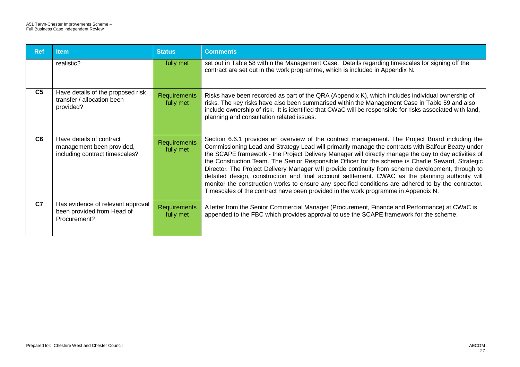| <b>Ref</b>     | <b>Item</b>                                                                             | <b>Status</b>                    | <b>Comments</b>                                                                                                                                                                                                                                                                                                                                                                                                                                                                                                                                                                                                                                                                                                                                                                                                         |
|----------------|-----------------------------------------------------------------------------------------|----------------------------------|-------------------------------------------------------------------------------------------------------------------------------------------------------------------------------------------------------------------------------------------------------------------------------------------------------------------------------------------------------------------------------------------------------------------------------------------------------------------------------------------------------------------------------------------------------------------------------------------------------------------------------------------------------------------------------------------------------------------------------------------------------------------------------------------------------------------------|
|                | realistic?                                                                              | fully met                        | set out in Table 58 within the Management Case. Details regarding timescales for signing off the<br>contract are set out in the work programme, which is included in Appendix N.                                                                                                                                                                                                                                                                                                                                                                                                                                                                                                                                                                                                                                        |
| C <sub>5</sub> | Have details of the proposed risk<br>transfer / allocation been<br>provided?            | <b>Requirements</b><br>fully met | Risks have been recorded as part of the QRA (Appendix K), which includes individual ownership of<br>risks. The key risks have also been summarised within the Management Case in Table 59 and also<br>include ownership of risk. It is identified that CWaC will be responsible for risks associated with land,<br>planning and consultation related issues.                                                                                                                                                                                                                                                                                                                                                                                                                                                            |
| C6             | Have details of contract<br>management been provided,<br>including contract timescales? | <b>Requirements</b><br>fully met | Section 6.6.1 provides an overview of the contract management. The Project Board including the<br>Commissioning Lead and Strategy Lead will primarily manage the contracts with Balfour Beatty under<br>the SCAPE framework - the Project Delivery Manager will directly manage the day to day activities of<br>the Construction Team. The Senior Responsible Officer for the scheme is Charlie Seward, Strategic<br>Director. The Project Delivery Manager will provide continuity from scheme development, through to<br>detailed design, construction and final account settlement. CWAC as the planning authority will<br>monitor the construction works to ensure any specified conditions are adhered to by the contractor.<br>Timescales of the contract have been provided in the work programme in Appendix N. |
| C <sub>7</sub> | Has evidence of relevant approval<br>been provided from Head of<br>Procurement?         | Requirements<br>fully met        | A letter from the Senior Commercial Manager (Procurement, Finance and Performance) at CWaC is<br>appended to the FBC which provides approval to use the SCAPE framework for the scheme.                                                                                                                                                                                                                                                                                                                                                                                                                                                                                                                                                                                                                                 |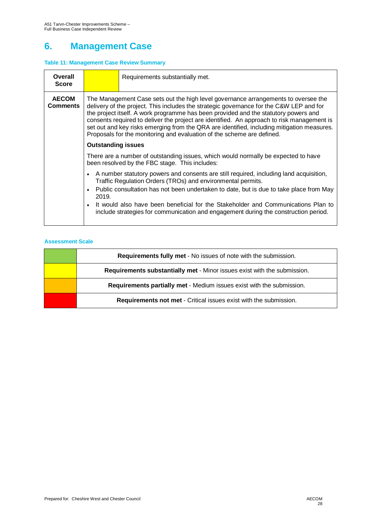# **6. Management Case**

### **Table 11: Management Case Review Summary**

| Overall<br><b>Score</b>         |                                                                                                                                                                                                                                                                                                                                                                                                                                                                                                                                            | Requirements substantially met.                                                                                                                                                                                                                                                                                                                                                                                                 |  |  |  |  |
|---------------------------------|--------------------------------------------------------------------------------------------------------------------------------------------------------------------------------------------------------------------------------------------------------------------------------------------------------------------------------------------------------------------------------------------------------------------------------------------------------------------------------------------------------------------------------------------|---------------------------------------------------------------------------------------------------------------------------------------------------------------------------------------------------------------------------------------------------------------------------------------------------------------------------------------------------------------------------------------------------------------------------------|--|--|--|--|
| <b>AECOM</b><br><b>Comments</b> | The Management Case sets out the high level governance arrangements to oversee the<br>delivery of the project. This includes the strategic governance for the C&W LEP and for<br>the project itself. A work programme has been provided and the statutory powers and<br>consents required to deliver the project are identified. An approach to risk management is<br>set out and key risks emerging from the QRA are identified, including mitigation measures.<br>Proposals for the monitoring and evaluation of the scheme are defined. |                                                                                                                                                                                                                                                                                                                                                                                                                                 |  |  |  |  |
|                                 | <b>Outstanding issues</b>                                                                                                                                                                                                                                                                                                                                                                                                                                                                                                                  |                                                                                                                                                                                                                                                                                                                                                                                                                                 |  |  |  |  |
|                                 | There are a number of outstanding issues, which would normally be expected to have<br>been resolved by the FBC stage. This includes:                                                                                                                                                                                                                                                                                                                                                                                                       |                                                                                                                                                                                                                                                                                                                                                                                                                                 |  |  |  |  |
|                                 | 2019.                                                                                                                                                                                                                                                                                                                                                                                                                                                                                                                                      | A number statutory powers and consents are still required, including land acquisition,<br>Traffic Regulation Orders (TROs) and environmental permits.<br>• Public consultation has not been undertaken to date, but is due to take place from May<br>• It would also have been beneficial for the Stakeholder and Communications Plan to<br>include strategies for communication and engagement during the construction period. |  |  |  |  |

| <b>Requirements fully met - No issues of note with the submission.</b>   |
|--------------------------------------------------------------------------|
| Requirements substantially met - Minor issues exist with the submission. |
| Requirements partially met - Medium issues exist with the submission.    |
| <b>Requirements not met - Critical issues exist with the submission.</b> |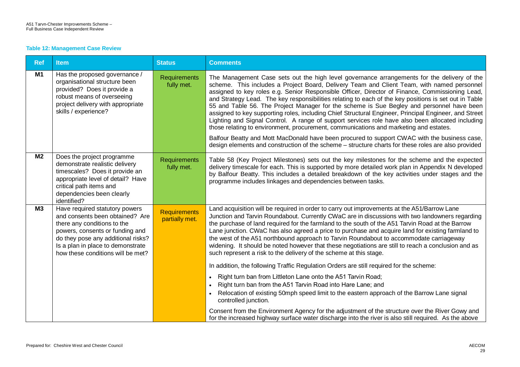#### **Table 12: Management Case Review**

| <b>Ref</b>     | <b>Item</b>                                                                                                                                                                                                                                         | <b>Status</b>                         | <b>Comments</b>                                                                                                                                                                                                                                                                                                                                                                                                                                                                                                                                                                                                                                                                                                                                                                                                                                                                                                                                                                                                 |
|----------------|-----------------------------------------------------------------------------------------------------------------------------------------------------------------------------------------------------------------------------------------------------|---------------------------------------|-----------------------------------------------------------------------------------------------------------------------------------------------------------------------------------------------------------------------------------------------------------------------------------------------------------------------------------------------------------------------------------------------------------------------------------------------------------------------------------------------------------------------------------------------------------------------------------------------------------------------------------------------------------------------------------------------------------------------------------------------------------------------------------------------------------------------------------------------------------------------------------------------------------------------------------------------------------------------------------------------------------------|
| <b>M1</b>      | Has the proposed governance /<br>organisational structure been<br>provided? Does it provide a<br>robust means of overseeing<br>project delivery with appropriate<br>skills / experience?                                                            | <b>Requirements</b><br>fully met.     | The Management Case sets out the high level governance arrangements for the delivery of the<br>scheme. This includes a Project Board, Delivery Team and Client Team, with named personnel<br>assigned to key roles e.g. Senior Responsible Officer, Director of Finance, Commissioning Lead,<br>and Strategy Lead. The key responsibilities relating to each of the key positions is set out in Table<br>55 and Table 56. The Project Manager for the scheme is Sue Begley and personnel have been<br>assigned to key supporting roles, including Chief Structural Engineer, Principal Engineer, and Street<br>Lighting and Signal Control. A range of support services role have also been allocated including<br>those relating to environment, procurement, communications and marketing and estates.<br>Balfour Beatty and Mott MacDonald have been procured to support CWAC with the business case,<br>design elements and construction of the scheme – structure charts for these roles are also provided |
| M <sub>2</sub> | Does the project programme<br>demonstrate realistic delivery<br>timescales? Does it provide an<br>appropriate level of detail? Have<br>critical path items and<br>dependencies been clearly<br>identified?                                          | <b>Requirements</b><br>fully met.     | Table 58 (Key Project Milestones) sets out the key milestones for the scheme and the expected<br>delivery timescale for each. This is supported by more detailed work plan in Appendix N developed<br>by Balfour Beatty. This includes a detailed breakdown of the key activities under stages and the<br>programme includes linkages and dependencies between tasks.                                                                                                                                                                                                                                                                                                                                                                                                                                                                                                                                                                                                                                           |
| M3             | Have required statutory powers<br>and consents been obtained? Are<br>there any conditions to the<br>powers, consents or funding and<br>do they pose any additional risks?<br>Is a plan in place to demonstrate<br>how these conditions will be met? | <b>Requirements</b><br>partially met. | Land acquisition will be required in order to carry out improvements at the A51/Barrow Lane<br>Junction and Tarvin Roundabout. Currently CWaC are in discussions with two landowners regarding<br>the purchase of land required for the farmland to the south of the A51 Tarvin Road at the Barrow<br>Lane junction. CWaC has also agreed a price to purchase and acquire land for existing farmland to<br>the west of the A51 northbound approach to Tarvin Roundabout to accommodate carriageway<br>widening. It should be noted however that these negotiations are still to reach a conclusion and as<br>such represent a risk to the delivery of the scheme at this stage.<br>In addition, the following Traffic Regulation Orders are still required for the scheme:                                                                                                                                                                                                                                      |
|                |                                                                                                                                                                                                                                                     |                                       | Right turn ban from Littleton Lane onto the A51 Tarvin Road;<br>Right turn ban from the A51 Tarvin Road into Hare Lane; and<br>$\bullet$<br>Relocation of existing 50mph speed limit to the eastern approach of the Barrow Lane signal<br>controlled junction.<br>Consent from the Environment Agency for the adjustment of the structure over the River Gowy and<br>for the increased highway surface water discharge into the river is also still required. As the above                                                                                                                                                                                                                                                                                                                                                                                                                                                                                                                                      |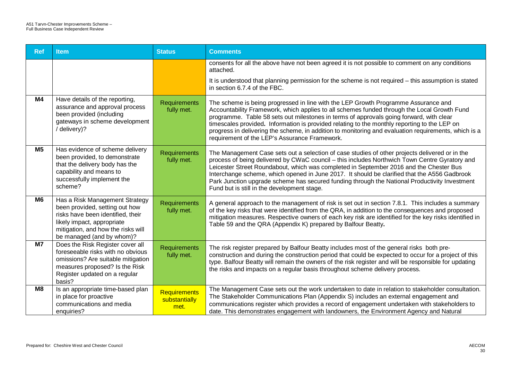| <b>Ref</b>     | <b>Item</b>                                                                                                                                                                                            | <b>Status</b>                                | <b>Comments</b>                                                                                                                                                                                                                                                                                                                                                                                                                                                                                                                           |
|----------------|--------------------------------------------------------------------------------------------------------------------------------------------------------------------------------------------------------|----------------------------------------------|-------------------------------------------------------------------------------------------------------------------------------------------------------------------------------------------------------------------------------------------------------------------------------------------------------------------------------------------------------------------------------------------------------------------------------------------------------------------------------------------------------------------------------------------|
|                |                                                                                                                                                                                                        |                                              | consents for all the above have not been agreed it is not possible to comment on any conditions<br>attached.                                                                                                                                                                                                                                                                                                                                                                                                                              |
|                |                                                                                                                                                                                                        |                                              | It is understood that planning permission for the scheme is not required – this assumption is stated<br>in section 6.7.4 of the FBC.                                                                                                                                                                                                                                                                                                                                                                                                      |
| <b>M4</b>      | Have details of the reporting,<br>assurance and approval process<br>been provided (including<br>gateways in scheme development<br>/ delivery)?                                                         | <b>Requirements</b><br>fully met.            | The scheme is being progressed in line with the LEP Growth Programme Assurance and<br>Accountability Framework, which applies to all schemes funded through the Local Growth Fund<br>programme. Table 58 sets out milestones in terms of approvals going forward, with clear<br>timescales provided. Information is provided relating to the monthly reporting to the LEP on<br>progress in delivering the scheme, in addition to monitoring and evaluation requirements, which is a<br>requirement of the LEP's Assurance Framework.     |
| M <sub>5</sub> | Has evidence of scheme delivery<br>been provided, to demonstrate<br>that the delivery body has the<br>capability and means to<br>successfully implement the<br>scheme?                                 | Requirements<br>fully met.                   | The Management Case sets out a selection of case studies of other projects delivered or in the<br>process of being delivered by CWaC council – this includes Northwich Town Centre Gyratory and<br>Leicester Street Roundabout, which was completed in September 2016 and the Chester Bus<br>Interchange scheme, which opened in June 2017. It should be clarified that the A556 Gadbrook<br>Park Junction upgrade scheme has secured funding through the National Productivity Investment<br>Fund but is still in the development stage. |
| M <sub>6</sub> | Has a Risk Management Strategy<br>been provided, setting out how<br>risks have been identified, their<br>likely impact, appropriate<br>mitigation, and how the risks will<br>be managed (and by whom)? | <b>Requirements</b><br>fully met.            | A general approach to the management of risk is set out in section 7.8.1. This includes a summary<br>of the key risks that were identified from the QRA, in addition to the consequences and proposed<br>mitigation measures. Respective owners of each key risk are identified for the key risks identified in<br>Table 59 and the QRA (Appendix K) prepared by Balfour Beatty.                                                                                                                                                          |
| <b>M7</b>      | Does the Risk Register cover all<br>foreseeable risks with no obvious<br>omissions? Are suitable mitigation<br>measures proposed? Is the Risk<br>Register updated on a regular<br>basis?               | <b>Requirements</b><br>fully met.            | The risk register prepared by Balfour Beatty includes most of the general risks both pre-<br>construction and during the construction period that could be expected to occur for a project of this<br>type. Balfour Beatty will remain the owners of the risk register and will be responsible for updating<br>the risks and impacts on a regular basis throughout scheme delivery process.                                                                                                                                               |
| M <sub>8</sub> | Is an appropriate time-based plan<br>in place for proactive<br>communications and media<br>enquiries?                                                                                                  | <b>Requirements</b><br>substantially<br>met. | The Management Case sets out the work undertaken to date in relation to stakeholder consultation.<br>The Stakeholder Communications Plan (Appendix S) includes an external engagement and<br>communications register which provides a record of engagement undertaken with stakeholders to<br>date. This demonstrates engagement with landowners, the Environment Agency and Natural                                                                                                                                                      |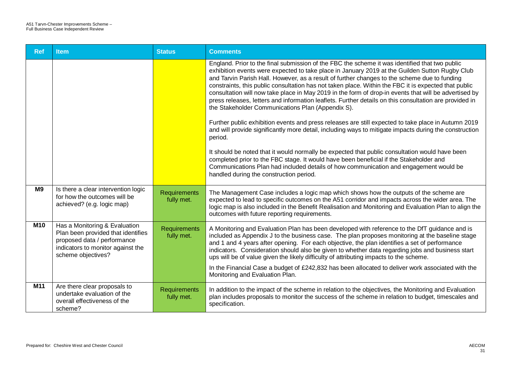| <b>Ref</b>     | <b>Item</b>                                                                                                                                                   | <b>Status</b>                     | <b>Comments</b>                                                                                                                                                                                                                                                                                                                                                                                                                                                                                                                                                                                                                                                                  |
|----------------|---------------------------------------------------------------------------------------------------------------------------------------------------------------|-----------------------------------|----------------------------------------------------------------------------------------------------------------------------------------------------------------------------------------------------------------------------------------------------------------------------------------------------------------------------------------------------------------------------------------------------------------------------------------------------------------------------------------------------------------------------------------------------------------------------------------------------------------------------------------------------------------------------------|
|                |                                                                                                                                                               |                                   | England. Prior to the final submission of the FBC the scheme it was identified that two public<br>exhibition events were expected to take place in January 2019 at the Guilden Sutton Rugby Club<br>and Tarvin Parish Hall. However, as a result of further changes to the scheme due to funding<br>constraints, this public consultation has not taken place. Within the FBC it is expected that public<br>consultation will now take place in May 2019 in the form of drop-in events that will be advertised by<br>press releases, letters and information leaflets. Further details on this consultation are provided in<br>the Stakeholder Communications Plan (Appendix S). |
|                |                                                                                                                                                               |                                   | Further public exhibition events and press releases are still expected to take place in Autumn 2019<br>and will provide significantly more detail, including ways to mitigate impacts during the construction<br>period.                                                                                                                                                                                                                                                                                                                                                                                                                                                         |
|                |                                                                                                                                                               |                                   | It should be noted that it would normally be expected that public consultation would have been<br>completed prior to the FBC stage. It would have been beneficial if the Stakeholder and<br>Communications Plan had included details of how communication and engagement would be<br>handled during the construction period.                                                                                                                                                                                                                                                                                                                                                     |
| M <sub>9</sub> | Is there a clear intervention logic<br>for how the outcomes will be<br>achieved? (e.g. logic map)                                                             | Requirements<br>fully met.        | The Management Case includes a logic map which shows how the outputs of the scheme are<br>expected to lead to specific outcomes on the A51 corridor and impacts across the wider area. The<br>logic map is also included in the Benefit Realisation and Monitoring and Evaluation Plan to align the<br>outcomes with future reporting requirements.                                                                                                                                                                                                                                                                                                                              |
| <b>M10</b>     | Has a Monitoring & Evaluation<br>Plan been provided that identifies<br>proposed data / performance<br>indicators to monitor against the<br>scheme objectives? | <b>Requirements</b><br>fully met. | A Monitoring and Evaluation Plan has been developed with reference to the DfT guidance and is<br>included as Appendix J to the business case. The plan proposes monitoring at the baseline stage<br>and 1 and 4 years after opening. For each objective, the plan identifies a set of performance<br>indicators. Consideration should also be given to whether data regarding jobs and business start<br>ups will be of value given the likely difficulty of attributing impacts to the scheme.                                                                                                                                                                                  |
|                |                                                                                                                                                               |                                   | In the Financial Case a budget of £242,832 has been allocated to deliver work associated with the<br>Monitoring and Evaluation Plan.                                                                                                                                                                                                                                                                                                                                                                                                                                                                                                                                             |
| M11            | Are there clear proposals to<br>undertake evaluation of the<br>overall effectiveness of the<br>scheme?                                                        | <b>Requirements</b><br>fully met. | In addition to the impact of the scheme in relation to the objectives, the Monitoring and Evaluation<br>plan includes proposals to monitor the success of the scheme in relation to budget, timescales and<br>specification.                                                                                                                                                                                                                                                                                                                                                                                                                                                     |